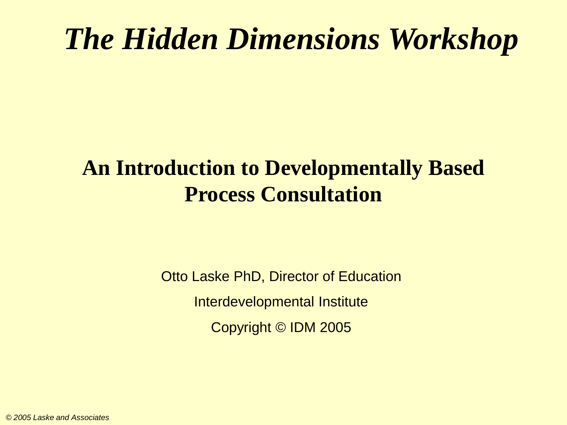## *The Hidden Dimensions Workshop*

#### **An Introduction to Developmentally Based Process Consultation**

Otto Laske PhD, Director of Education Interdevelopmental Institute Copyright © IDM 2005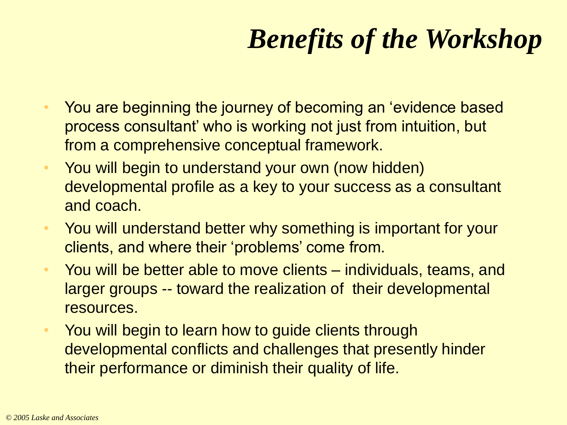## *Benefits of the Workshop*

- You are beginning the journey of becoming an 'evidence based process consultant' who is working not just from intuition, but from a comprehensive conceptual framework.
- You will begin to understand your own (now hidden) developmental profile as a key to your success as a consultant and coach.
- You will understand better why something is important for your clients, and where their 'problems' come from.
- You will be better able to move clients individuals, teams, and larger groups -- toward the realization of their developmental resources.
- You will begin to learn how to guide clients through developmental conflicts and challenges that presently hinder their performance or diminish their quality of life.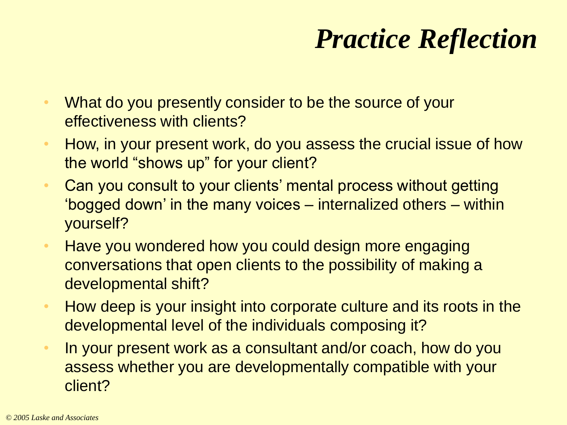## *Practice Reflection*

- What do you presently consider to be the source of your effectiveness with clients?
- How, in your present work, do you assess the crucial issue of how the world "shows up" for your client?
- Can you consult to your clients' mental process without getting 'bogged down' in the many voices – internalized others – within yourself?
- Have you wondered how you could design more engaging conversations that open clients to the possibility of making a developmental shift?
- How deep is your insight into corporate culture and its roots in the developmental level of the individuals composing it?
- In your present work as a consultant and/or coach, how do you assess whether you are developmentally compatible with your client?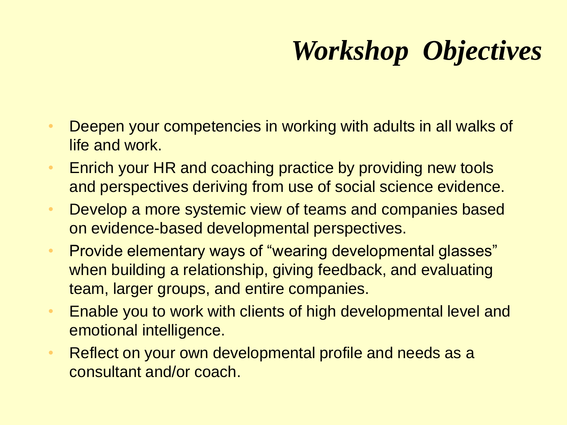# *Workshop Objectives*

- Deepen your competencies in working with adults in all walks of life and work.
- Enrich your HR and coaching practice by providing new tools and perspectives deriving from use of social science evidence.
- Develop a more systemic view of teams and companies based on evidence-based developmental perspectives.
- Provide elementary ways of "wearing developmental glasses" when building a relationship, giving feedback, and evaluating team, larger groups, and entire companies.
- Enable you to work with clients of high developmental level and emotional intelligence.
- Reflect on your own developmental profile and needs as a consultant and/or coach.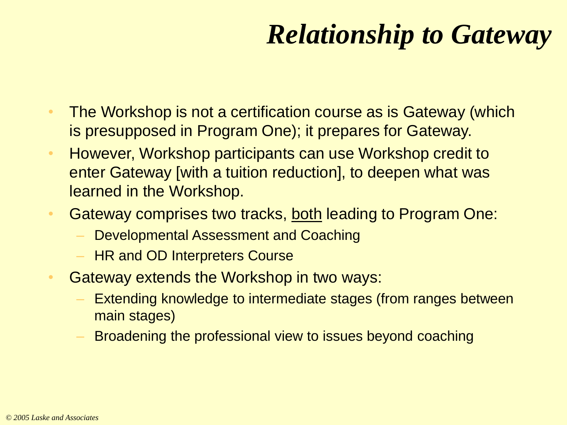## *Relationship to Gateway*

- The Workshop is not a certification course as is Gateway (which is presupposed in Program One); it prepares for Gateway.
- However, Workshop participants can use Workshop credit to enter Gateway [with a tuition reduction], to deepen what was learned in the Workshop.
- Gateway comprises two tracks, both leading to Program One:
	- Developmental Assessment and Coaching
	- **HR and OD Interpreters Course**
- Gateway extends the Workshop in two ways:
	- Extending knowledge to intermediate stages (from ranges between main stages)
	- Broadening the professional view to issues beyond coaching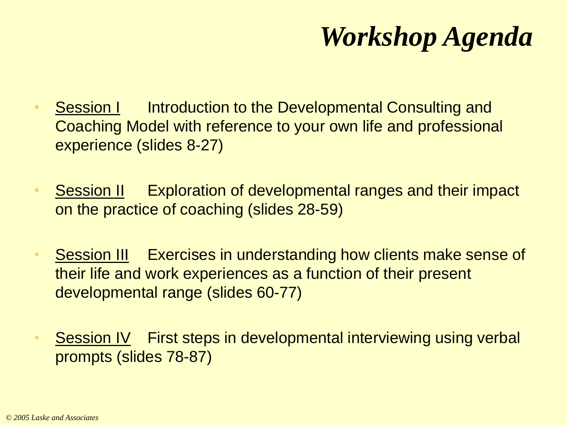## *Workshop Agenda*

- **Session I** Introduction to the Developmental Consulting and Coaching Model with reference to your own life and professional experience (slides 8-27)
- Session II Exploration of developmental ranges and their impact on the practice of coaching (slides 28-59)
- Session III Exercises in understanding how clients make sense of their life and work experiences as a function of their present developmental range (slides 60-77)
- Session IV First steps in developmental interviewing using verbal prompts (slides 78-87)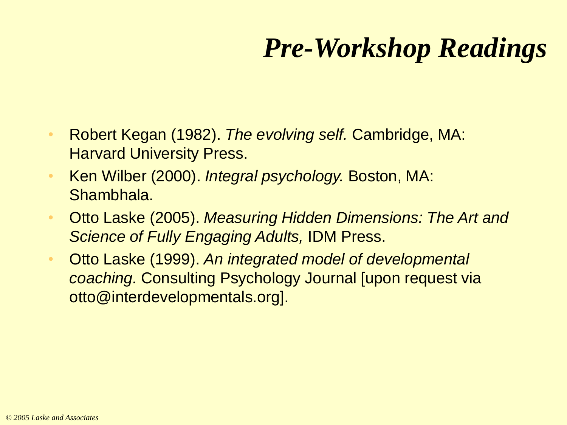## *Pre-Workshop Readings*

- Robert Kegan (1982). *The evolving self.* Cambridge, MA: Harvard University Press.
- Ken Wilber (2000). *Integral psychology.* Boston, MA: Shambhala.
- Otto Laske (2005). *Measuring Hidden Dimensions: The Art and Science of Fully Engaging Adults,* IDM Press.
- Otto Laske (1999). *An integrated model of developmental coaching.* Consulting Psychology Journal [upon request via otto@interdevelopmentals.org].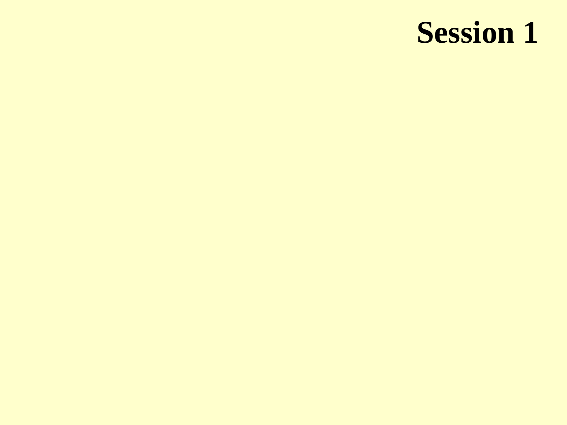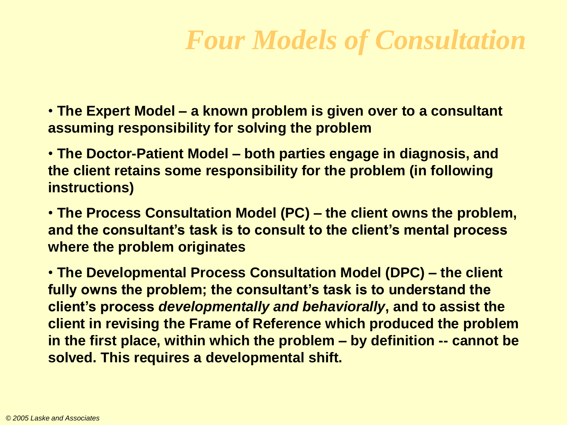#### *Four Models of Consultation*

• **The Expert Model – a known problem is given over to a consultant assuming responsibility for solving the problem**

• **The Doctor-Patient Model – both parties engage in diagnosis, and the client retains some responsibility for the problem (in following instructions)**

• **The Process Consultation Model (PC) – the client owns the problem, and the consultant's task is to consult to the client's mental process where the problem originates**

• **The Developmental Process Consultation Model (DPC) – the client fully owns the problem; the consultant's task is to understand the client's process** *developmentally and behaviorally***, and to assist the client in revising the Frame of Reference which produced the problem in the first place, within which the problem – by definition -- cannot be solved. This requires a developmental shift.**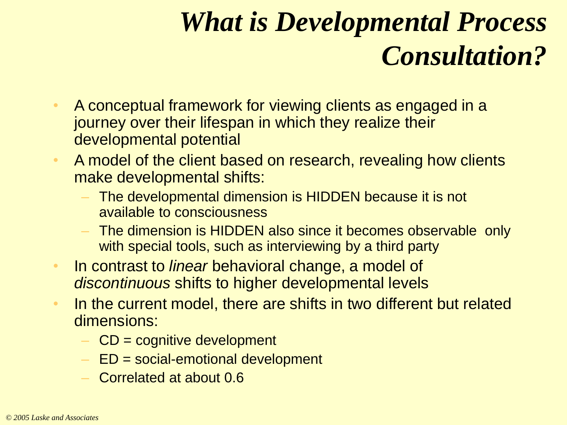## *What is Developmental Process Consultation?*

- A conceptual framework for viewing clients as engaged in a journey over their lifespan in which they realize their developmental potential
- A model of the client based on research, revealing how clients make developmental shifts:
	- The developmental dimension is HIDDEN because it is not available to consciousness
	- The dimension is HIDDEN also since it becomes observable only with special tools, such as interviewing by a third party
- In contrast to *linear* behavioral change, a model of *discontinuous* shifts to higher developmental levels
- In the current model, there are shifts in two different but related dimensions:
	- $-$  CD = cognitive development
	- $-$  ED = social-emotional development
	- Correlated at about 0.6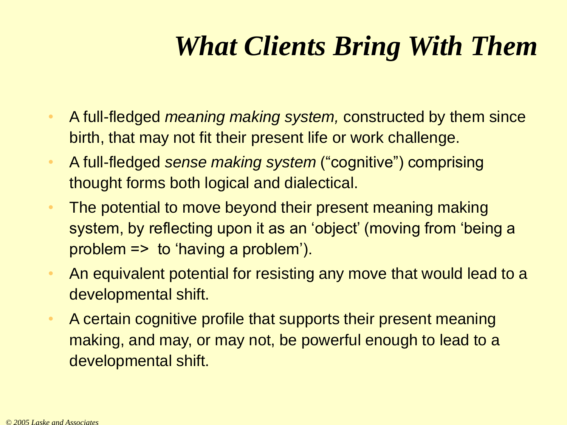## *What Clients Bring With Them*

- A full-fledged *meaning making system,* constructed by them since birth, that may not fit their present life or work challenge.
- A full-fledged *sense making system* ("cognitive") comprising thought forms both logical and dialectical.
- The potential to move beyond their present meaning making system, by reflecting upon it as an 'object' (moving from 'being a problem => to 'having a problem').
- An equivalent potential for resisting any move that would lead to a developmental shift.
- A certain cognitive profile that supports their present meaning making, and may, or may not, be powerful enough to lead to a developmental shift.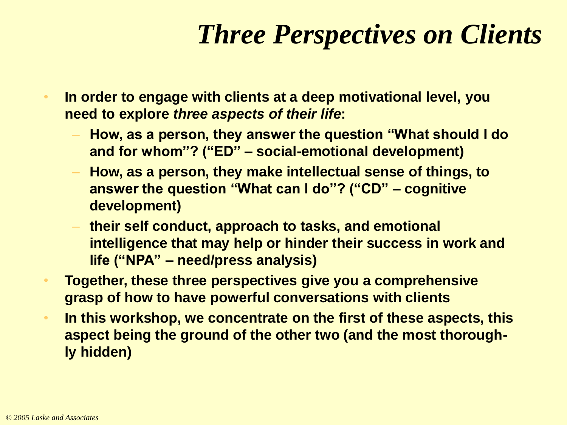## *Three Perspectives on Clients*

- **In order to engage with clients at a deep motivational level, you need to explore** *three aspects of their life***:**
	- **How, as a person, they answer the question "What should I do and for whom"? ("ED" – social-emotional development)**
	- **How, as a person, they make intellectual sense of things, to answer the question "What can I do"? ("CD" – cognitive development)**
	- **their self conduct, approach to tasks, and emotional intelligence that may help or hinder their success in work and life ("NPA" – need/press analysis)**
- **Together, these three perspectives give you a comprehensive grasp of how to have powerful conversations with clients**
- **In this workshop, we concentrate on the first of these aspects, this aspect being the ground of the other two (and the most thoroughly hidden)**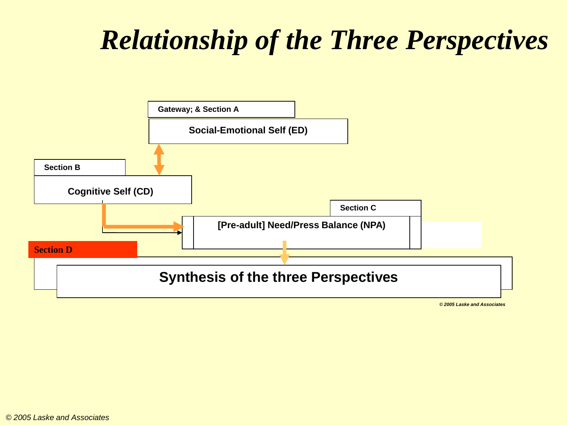## *Relationship of the Three Perspectives*



*© 2005 Laske and Associates*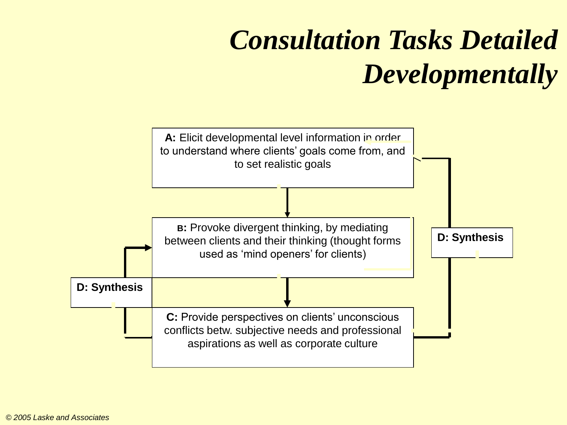# *Consultation Tasks Detailed Developmentally*

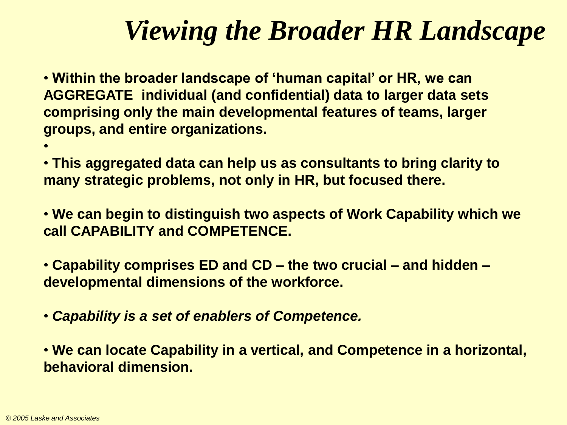#### *Viewing the Broader HR Landscape*

• **Within the broader landscape of 'human capital' or HR, we can AGGREGATE individual (and confidential) data to larger data sets comprising only the main developmental features of teams, larger groups, and entire organizations.**

• **This aggregated data can help us as consultants to bring clarity to many strategic problems, not only in HR, but focused there.**

• **We can begin to distinguish two aspects of Work Capability which we call CAPABILITY and COMPETENCE.**

• **Capability comprises ED and CD – the two crucial – and hidden – developmental dimensions of the workforce.**

• *Capability is a set of enablers of Competence.*

• **We can locate Capability in a vertical, and Competence in a horizontal, behavioral dimension.**

•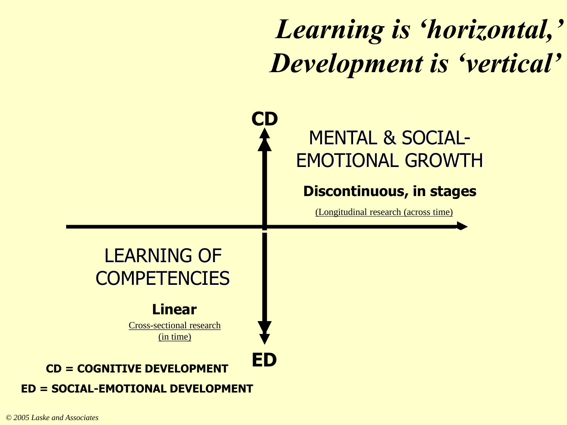## *Learning is 'horizontal,' Development is 'vertical'*

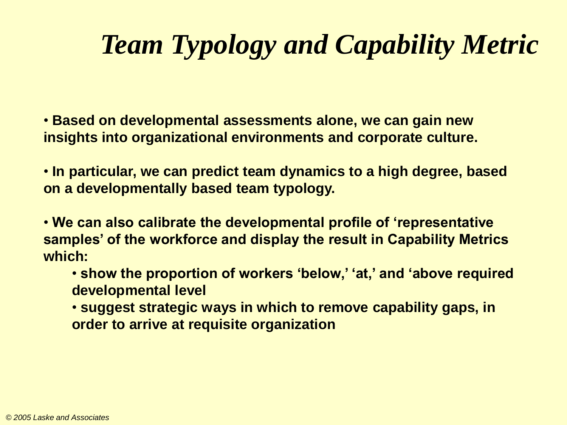## *Team Typology and Capability Metric*

• **Based on developmental assessments alone, we can gain new insights into organizational environments and corporate culture.**

• **In particular, we can predict team dynamics to a high degree, based on a developmentally based team typology.**

• **We can also calibrate the developmental profile of 'representative samples' of the workforce and display the result in Capability Metrics which:**

- **show the proportion of workers 'below,' 'at,' and 'above required developmental level**
- **suggest strategic ways in which to remove capability gaps, in order to arrive at requisite organization**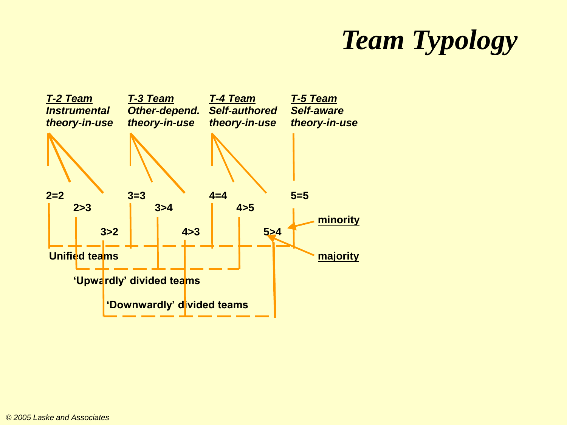## *Team Typology*

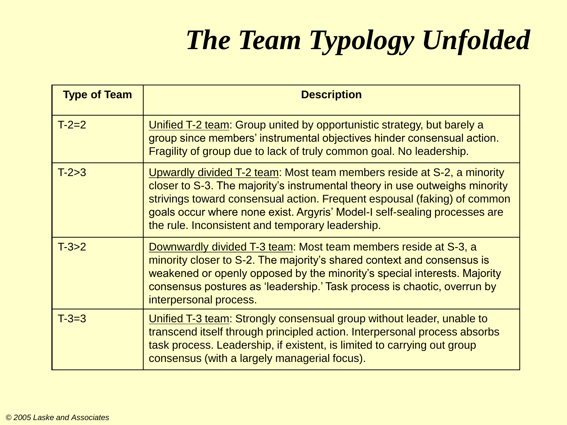# *The Team Typology Unfolded*

| <b>Type of Team</b> | <b>Description</b>                                                                                                                                                                                                                                                                                                                                                 |
|---------------------|--------------------------------------------------------------------------------------------------------------------------------------------------------------------------------------------------------------------------------------------------------------------------------------------------------------------------------------------------------------------|
| $T-2=2$             | Unified T-2 team: Group united by opportunistic strategy, but barely a<br>group since members' instrumental objectives hinder consensual action.<br>Fragility of group due to lack of truly common goal. No leadership.                                                                                                                                            |
| $T-2>3$             | Upwardly divided T-2 team: Most team members reside at S-2, a minority<br>closer to S-3. The majority's instrumental theory in use outweighs minority<br>strivings toward consensual action. Frequent espousal (faking) of common<br>goals occur where none exist. Argyris' Model-I self-sealing processes are<br>the rule. Inconsistent and temporary leadership. |
| $T-3>2$             | Downwardly divided T-3 team: Most team members reside at S-3, a<br>minority closer to S-2. The majority's shared context and consensus is<br>weakened or openly opposed by the minority's special interests. Majority<br>consensus postures as 'leadership.' Task process is chaotic, overrun by<br>interpersonal process.                                         |
| $T - 3 = 3$         | Unified T-3 team: Strongly consensual group without leader, unable to<br>transcend itself through principled action. Interpersonal process absorbs<br>task process. Leadership, if existent, is limited to carrying out group<br>consensus (with a largely managerial focus).                                                                                      |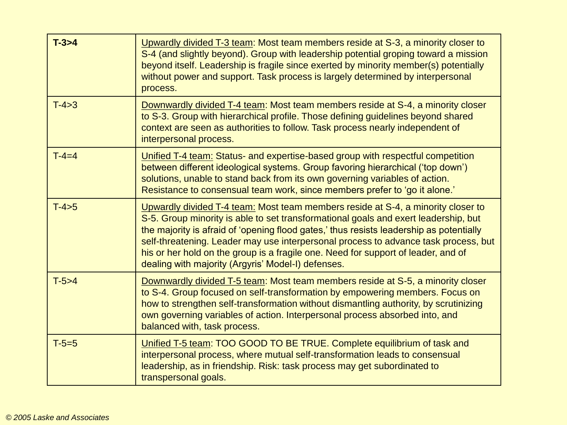| $T-3>4$     | Upwardly divided T-3 team: Most team members reside at S-3, a minority closer to<br>S-4 (and slightly beyond). Group with leadership potential groping toward a mission<br>beyond itself. Leadership is fragile since exerted by minority member(s) potentially<br>without power and support. Task process is largely determined by interpersonal<br>process.                                                                                                                                        |
|-------------|------------------------------------------------------------------------------------------------------------------------------------------------------------------------------------------------------------------------------------------------------------------------------------------------------------------------------------------------------------------------------------------------------------------------------------------------------------------------------------------------------|
| $T-4>3$     | Downwardly divided T-4 team: Most team members reside at S-4, a minority closer<br>to S-3. Group with hierarchical profile. Those defining guidelines beyond shared<br>context are seen as authorities to follow. Task process nearly independent of<br>interpersonal process.                                                                                                                                                                                                                       |
| $T - 4 = 4$ | Unified T-4 team: Status- and expertise-based group with respectful competition<br>between different ideological systems. Group favoring hierarchical ('top down')<br>solutions, unable to stand back from its own governing variables of action.<br>Resistance to consensual team work, since members prefer to 'go it alone.'                                                                                                                                                                      |
| $T-4>5$     | Upwardly divided T-4 team: Most team members reside at S-4, a minority closer to<br>S-5. Group minority is able to set transformational goals and exert leadership, but<br>the majority is afraid of 'opening flood gates,' thus resists leadership as potentially<br>self-threatening. Leader may use interpersonal process to advance task process, but<br>his or her hold on the group is a fragile one. Need for support of leader, and of<br>dealing with majority (Argyris' Model-I) defenses. |
| $T-5>4$     | Downwardly divided T-5 team: Most team members reside at S-5, a minority closer<br>to S-4. Group focused on self-transformation by empowering members. Focus on<br>how to strengthen self-transformation without dismantling authority, by scrutinizing<br>own governing variables of action. Interpersonal process absorbed into, and<br>balanced with, task process.                                                                                                                               |
| $T - 5 = 5$ | Unified T-5 team: TOO GOOD TO BE TRUE. Complete equilibrium of task and<br>interpersonal process, where mutual self-transformation leads to consensual<br>leadership, as in friendship. Risk: task process may get subordinated to<br>transpersonal goals.                                                                                                                                                                                                                                           |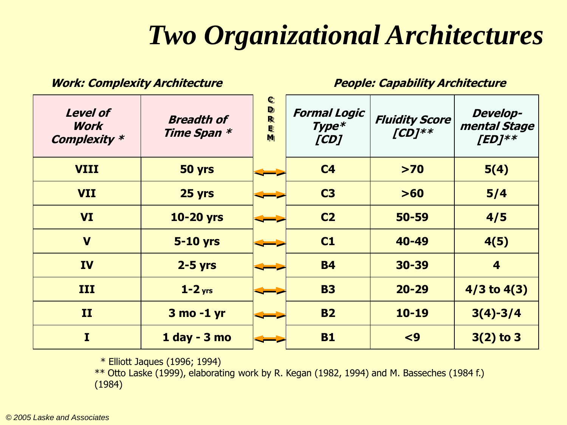#### *Two Organizational Architectures*

| <b>Level of</b><br>Work<br><b>Complexity *</b> | <b>Breadth of</b><br>Time Span * | $\mathbf C$<br>$\mathbf{D}$<br>R<br>E<br>M | <b>Formal Logic</b><br>$Type*$<br>[CD] | <b>Fluidity Score</b><br>$[CD]^{**}$ | <b>Develop-</b><br>mental Stage<br>$[ED]^{**}$ |
|------------------------------------------------|----------------------------------|--------------------------------------------|----------------------------------------|--------------------------------------|------------------------------------------------|
| <b>VIII</b>                                    | 50 yrs                           |                                            | C <sub>4</sub>                         | $>70$                                | 5(4)                                           |
| <b>VII</b>                                     | 25 yrs                           |                                            | C <sub>3</sub>                         | >60                                  | 5/4                                            |
| <b>VI</b>                                      | <b>10-20 yrs</b>                 |                                            | C <sub>2</sub>                         | 50-59                                | 4/5                                            |
| $\mathbf v$                                    | <b>5-10 yrs</b>                  |                                            | C1                                     | 40-49                                | 4(5)                                           |
| <b>IV</b>                                      | $2 - 5$ yrs                      |                                            | <b>B4</b>                              | 30-39                                | $\overline{\mathbf{4}}$                        |
| III                                            | $1 - 2$ yrs                      |                                            | <b>B3</b>                              | $20 - 29$                            | $4/3$ to $4(3)$                                |
| II                                             | 3 mo -1 yr                       |                                            | <b>B2</b>                              | $10 - 19$                            | $3(4)-3/4$                                     |
| $\mathbf I$                                    | 1 day - 3 mo                     |                                            | <b>B1</b>                              | $\leq 9$                             | $3(2)$ to 3                                    |

**Work: Complexity Architecture People: Capability Architecture**

\* Elliott Jaques (1996; 1994)

\*\* Otto Laske (1999), elaborating work by R. Kegan (1982, 1994) and M. Basseches (1984 f.) (1984)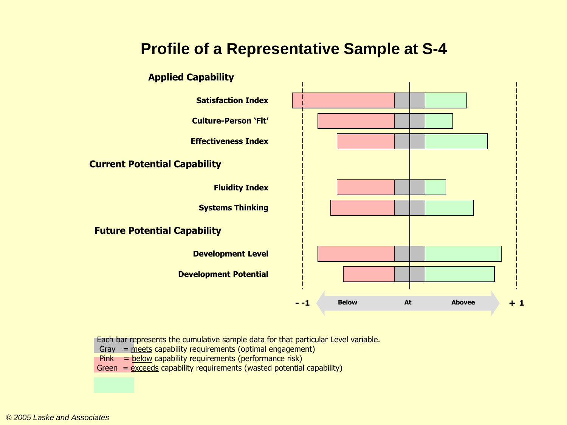#### **Profile of a Representative Sample at S-4**



Each bar represents the cumulative sample data for that particular Level variable.

- Gray  $=$  meets capability requirements (optimal engagement)
- $Pink =$  below capability requirements (performance risk)

Green =  $exceds$  capability requirements (wasted potential capability)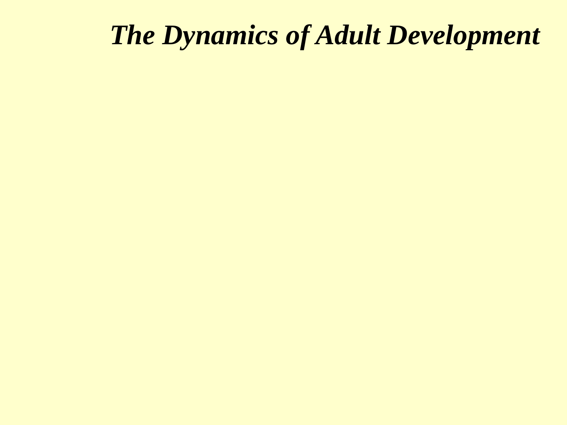#### *The Dynamics of Adult Development*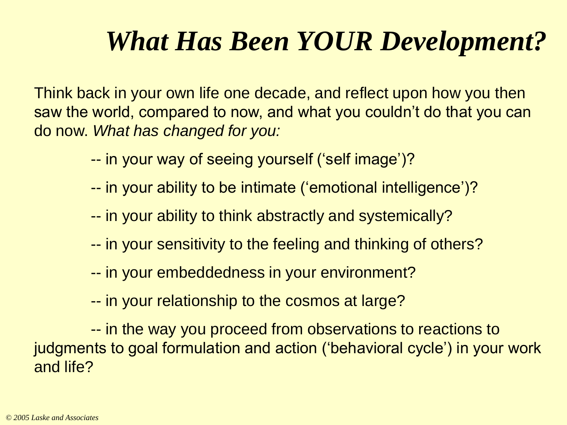## *What Has Been YOUR Development?*

Think back in your own life one decade, and reflect upon how you then saw the world, compared to now, and what you couldn't do that you can do now. *What has changed for you:*

- -- in your way of seeing yourself ('self image')?
- -- in your ability to be intimate ('emotional intelligence')?
- -- in your ability to think abstractly and systemically?
- -- in your sensitivity to the feeling and thinking of others?
- -- in your embeddedness in your environment?
- -- in your relationship to the cosmos at large?

-- in the way you proceed from observations to reactions to judgments to goal formulation and action ('behavioral cycle') in your work and life?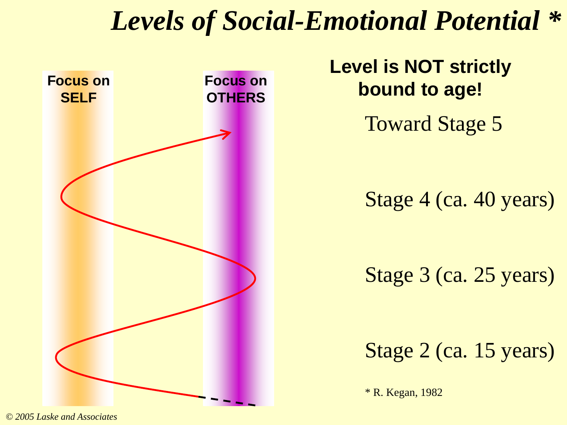#### *Levels of Social-Emotional Potential \**



**Level is NOT strictly bound to age!**

Toward Stage 5

Stage 4 (ca. 40 years)

Stage 3 (ca. 25 years)

Stage 2 (ca. 15 years)

\* R. Kegan, 1982

*© 2005 Laske and Associates*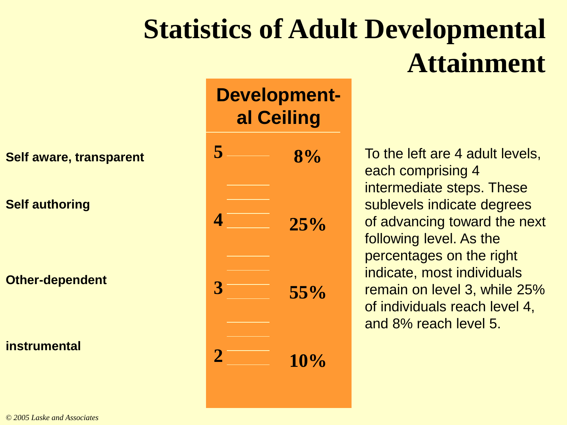# **Statistics of Adult Developmental Attainment**

**Self aware, transparent**

**Self authoring**

**Other-dependent**

**instrumental**

#### **Developmental Ceiling**



To the left are 4 adult levels, each comprising 4 intermediate steps. These sublevels indicate degrees of advancing toward the next following level. As the percentages on the right indicate, most individuals remain on level 3, while 25% of individuals reach level 4, and 8% reach level 5.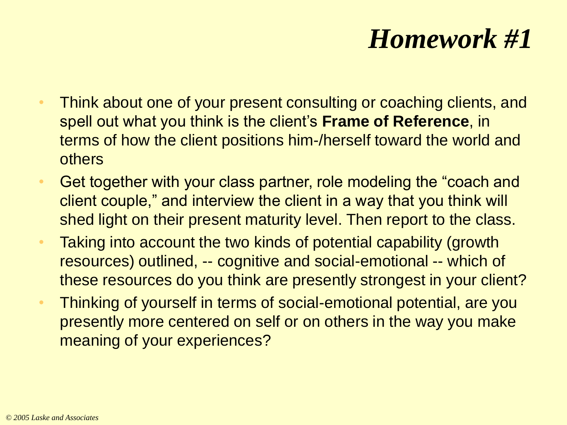#### *Homework #1*

- Think about one of your present consulting or coaching clients, and spell out what you think is the client's **Frame of Reference**, in terms of how the client positions him-/herself toward the world and others
- Get together with your class partner, role modeling the "coach and client couple," and interview the client in a way that you think will shed light on their present maturity level. Then report to the class.
- Taking into account the two kinds of potential capability (growth resources) outlined, -- cognitive and social-emotional -- which of these resources do you think are presently strongest in your client?
- Thinking of yourself in terms of social-emotional potential, are you presently more centered on self or on others in the way you make meaning of your experiences?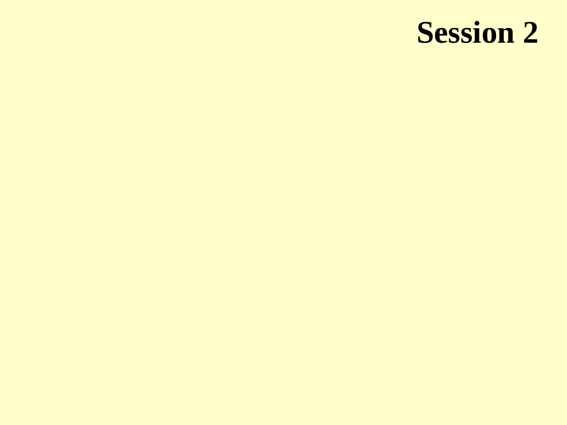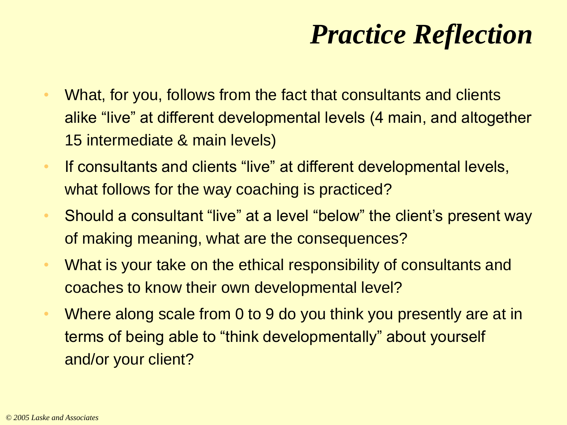## *Practice Reflection*

- What, for you, follows from the fact that consultants and clients alike "live" at different developmental levels (4 main, and altogether 15 intermediate & main levels)
- If consultants and clients "live" at different developmental levels, what follows for the way coaching is practiced?
- Should a consultant "live" at a level "below" the client's present way of making meaning, what are the consequences?
- What is your take on the ethical responsibility of consultants and coaches to know their own developmental level?
- Where along scale from 0 to 9 do you think you presently are at in terms of being able to "think developmentally" about yourself and/or your client?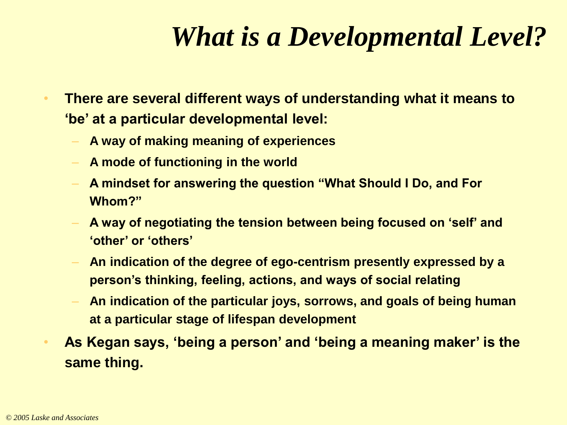#### *What is a Developmental Level?*

- **There are several different ways of understanding what it means to 'be' at a particular developmental level:**
	- **A way of making meaning of experiences**
	- **A mode of functioning in the world**
	- **A mindset for answering the question "What Should I Do, and For Whom?"**
	- **A way of negotiating the tension between being focused on 'self' and 'other' or 'others'**
	- **An indication of the degree of ego-centrism presently expressed by a person's thinking, feeling, actions, and ways of social relating**
	- **An indication of the particular joys, sorrows, and goals of being human at a particular stage of lifespan development**
- **As Kegan says, 'being a person' and 'being a meaning maker' is the same thing.**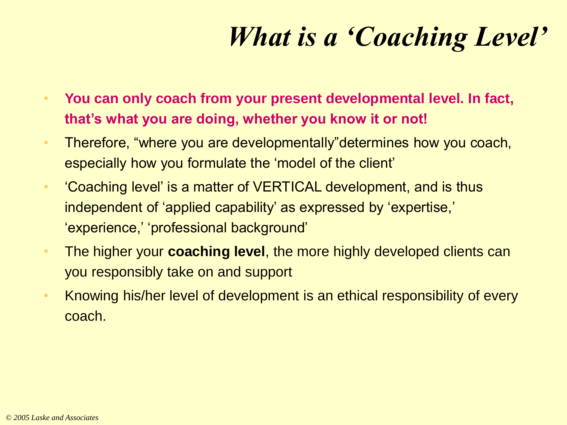## *What is a 'Coaching Level'*

- **You can only coach from your present developmental level. In fact, that's what you are doing, whether you know it or not!**
- Therefore, "where you are developmentally"determines how you coach, especially how you formulate the 'model of the client'
- 'Coaching level' is a matter of VERTICAL development, and is thus independent of 'applied capability' as expressed by 'expertise,' 'experience,' 'professional background'
- The higher your **coaching level**, the more highly developed clients can you responsibly take on and support
- Knowing his/her level of development is an ethical responsibility of every coach.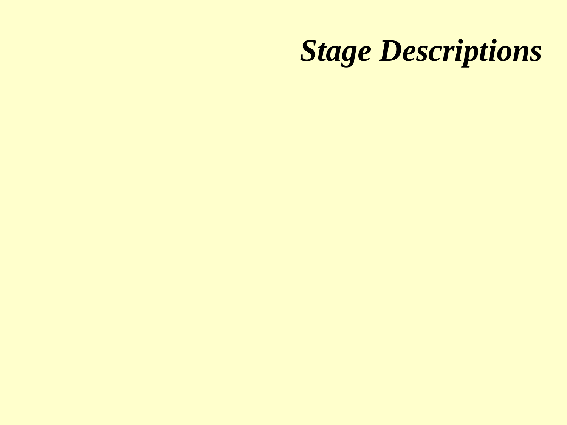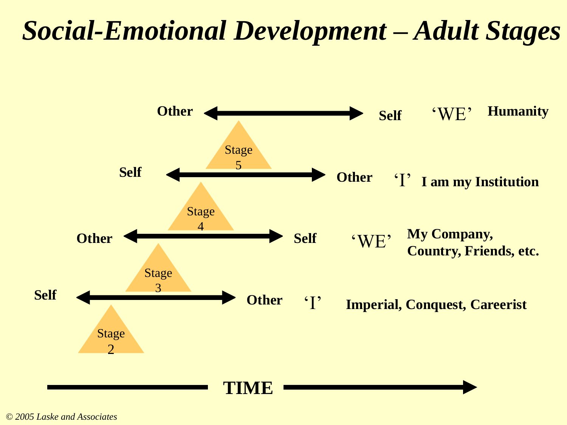#### *Social-Emotional Development – Adult Stages*



*© 2005 Laske and Associates*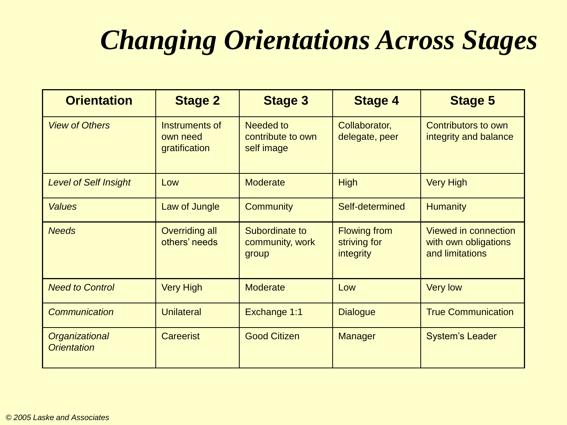## *Changing Orientations Across Stages*

| <b>Orientation</b>                   | <b>Stage 2</b>                              | <b>Stage 3</b>                               | <b>Stage 4</b>                                          | <b>Stage 5</b>                                                  |
|--------------------------------------|---------------------------------------------|----------------------------------------------|---------------------------------------------------------|-----------------------------------------------------------------|
| <b>View of Others</b>                | Instruments of<br>own need<br>gratification | Needed to<br>contribute to own<br>self image | Collaborator,<br>delegate, peer                         | Contributors to own<br>integrity and balance                    |
| <b>Level of Self Insight</b>         | Low                                         | <b>Moderate</b>                              | High                                                    | <b>Very High</b>                                                |
| <b>Values</b>                        | Law of Jungle                               | <b>Community</b>                             | Self-determined                                         | <b>Humanity</b>                                                 |
| <b>Needs</b>                         | <b>Overriding all</b><br>others' needs      | Subordinate to<br>community, work<br>group   | <b>Flowing from</b><br>striving for<br><i>integrity</i> | Viewed in connection<br>with own obligations<br>and limitations |
| <b>Need to Control</b>               | <b>Very High</b>                            | <b>Moderate</b>                              | Low                                                     | <b>Very low</b>                                                 |
| <b>Communication</b>                 | <b>Unilateral</b>                           | Exchange 1:1                                 | <b>Dialogue</b>                                         | <b>True Communication</b>                                       |
| Organizational<br><b>Orientation</b> | <b>Careerist</b>                            | <b>Good Citizen</b>                          | <b>Manager</b>                                          | <b>System's Leader</b>                                          |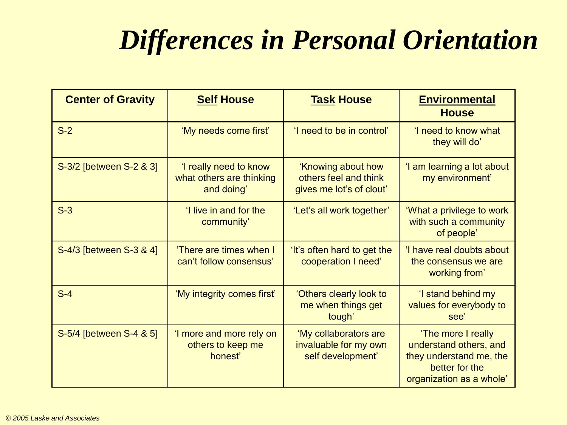## *Differences in Personal Orientation*

| <b>Center of Gravity</b> | <b>Self House</b>                                                | <b>Task House</b>                                                       | <b>Environmental</b><br><b>House</b>                                                                                  |
|--------------------------|------------------------------------------------------------------|-------------------------------------------------------------------------|-----------------------------------------------------------------------------------------------------------------------|
| $S-2$                    | 'My needs come first'                                            | 'I need to be in control'                                               | 'I need to know what<br>they will do'                                                                                 |
| S-3/2 [between S-2 & 3]  | 'I really need to know<br>what others are thinking<br>and doing' | 'Knowing about how<br>others feel and think<br>gives me lot's of clout' | 'I am learning a lot about<br>my environment'                                                                         |
| $S-3$                    | 'I live in and for the<br>community'                             | 'Let's all work together'                                               | 'What a privilege to work<br>with such a community<br>of people'                                                      |
| S-4/3 [between S-3 & 4]  | 'There are times when I<br>can't follow consensus'               | 'It's often hard to get the<br>cooperation I need'                      | 'I have real doubts about<br>the consensus we are<br>working from'                                                    |
| $S-4$                    | 'My integrity comes first'                                       | 'Others clearly look to<br>me when things get<br>tough'                 | 'I stand behind my<br>values for everybody to<br>see'                                                                 |
| S-5/4 [between S-4 & 5]  | 'I more and more rely on<br>others to keep me<br>honest'         | 'My collaborators are<br>invaluable for my own<br>self development'     | 'The more I really<br>understand others, and<br>they understand me, the<br>better for the<br>organization as a whole' |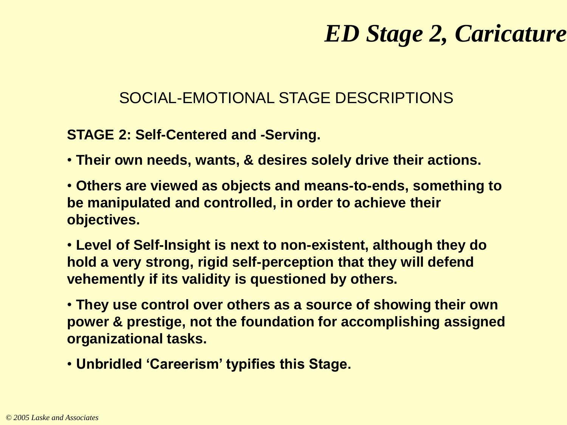#### *ED Stage 2, Caricature*

#### SOCIAL-EMOTIONAL STAGE DESCRIPTIONS

#### **STAGE 2: Self-Centered and -Serving.**

- **Their own needs, wants, & desires solely drive their actions.**
- **Others are viewed as objects and means-to-ends, something to be manipulated and controlled, in order to achieve their objectives.**
- **Level of Self-Insight is next to non-existent, although they do hold a very strong, rigid self-perception that they will defend vehemently if its validity is questioned by others.**
- **They use control over others as a source of showing their own power & prestige, not the foundation for accomplishing assigned organizational tasks.**
- **Unbridled 'Careerism' typifies this Stage.**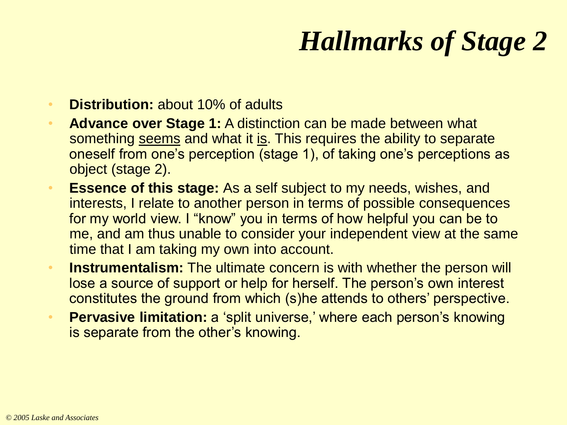# *Hallmarks of Stage 2*

- **Distribution:** about 10% of adults
- **Advance over Stage 1:** A distinction can be made between what something seems and what it is. This requires the ability to separate oneself from one's perception (stage 1), of taking one's perceptions as object (stage 2).
- **Essence of this stage:** As a self subject to my needs, wishes, and interests, I relate to another person in terms of possible consequences for my world view. I "know" you in terms of how helpful you can be to me, and am thus unable to consider your independent view at the same time that I am taking my own into account.
- **Instrumentalism:** The ultimate concern is with whether the person will lose a source of support or help for herself. The person's own interest constitutes the ground from which (s)he attends to others' perspective.
- **Pervasive limitation:** a 'split universe,' where each person's knowing is separate from the other's knowing.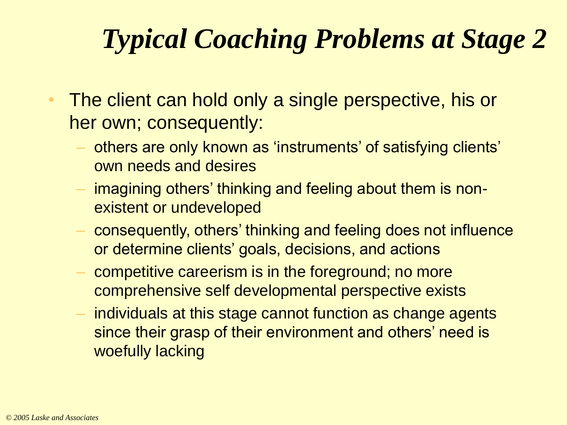# *Typical Coaching Problems at Stage 2*

- The client can hold only a single perspective, his or her own; consequently:
	- others are only known as 'instruments' of satisfying clients' own needs and desires
	- imagining others' thinking and feeling about them is nonexistent or undeveloped
	- consequently, others' thinking and feeling does not influence or determine clients' goals, decisions, and actions
	- competitive careerism is in the foreground; no more comprehensive self developmental perspective exists
	- individuals at this stage cannot function as change agents since their grasp of their environment and others' need is woefully lacking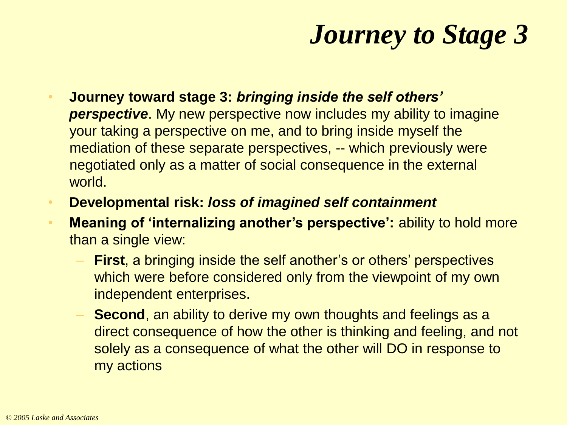# *Journey to Stage 3*

- **Journey toward stage 3:** *bringing inside the self others'*  **perspective**. My new perspective now includes my ability to imagine your taking a perspective on me, and to bring inside myself the mediation of these separate perspectives, -- which previously were negotiated only as a matter of social consequence in the external world.
- **Developmental risk:** *loss of imagined self containment*
- **Meaning of 'internalizing another's perspective':** ability to hold more than a single view:
	- **First**, a bringing inside the self another's or others' perspectives which were before considered only from the viewpoint of my own independent enterprises.
	- **Second**, an ability to derive my own thoughts and feelings as a direct consequence of how the other is thinking and feeling, and not solely as a consequence of what the other will DO in response to my actions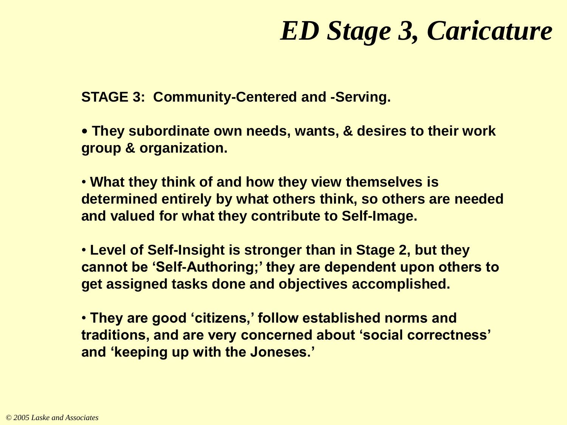### *ED Stage 3, Caricature*

**STAGE 3: Community-Centered and -Serving.**

• **They subordinate own needs, wants, & desires to their work group & organization.**

• **What they think of and how they view themselves is determined entirely by what others think, so others are needed and valued for what they contribute to Self-Image.**

• **Level of Self-Insight is stronger than in Stage 2, but they cannot be 'Self-Authoring;' they are dependent upon others to get assigned tasks done and objectives accomplished.**

• **They are good 'citizens,' follow established norms and traditions, and are very concerned about 'social correctness' and 'keeping up with the Joneses.'**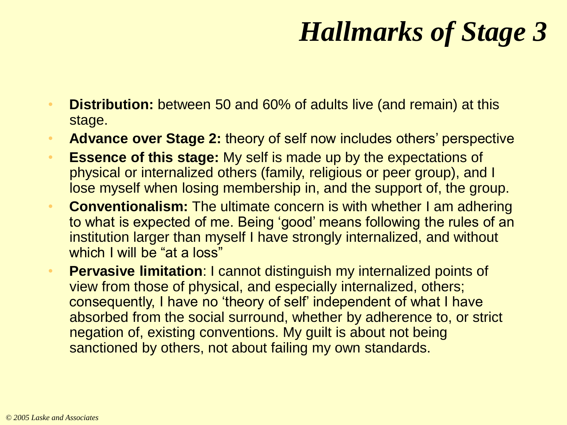# *Hallmarks of Stage 3*

- **Distribution:** between 50 and 60% of adults live (and remain) at this stage.
- **Advance over Stage 2:** theory of self now includes others' perspective
- **Essence of this stage:** My self is made up by the expectations of physical or internalized others (family, religious or peer group), and I lose myself when losing membership in, and the support of, the group.
- **Conventionalism:** The ultimate concern is with whether I am adhering to what is expected of me. Being 'good' means following the rules of an institution larger than myself I have strongly internalized, and without which I will be "at a loss"
- **Pervasive limitation**: I cannot distinguish my internalized points of view from those of physical, and especially internalized, others; consequently, I have no 'theory of self' independent of what I have absorbed from the social surround, whether by adherence to, or strict negation of, existing conventions. My guilt is about not being sanctioned by others, not about failing my own standards.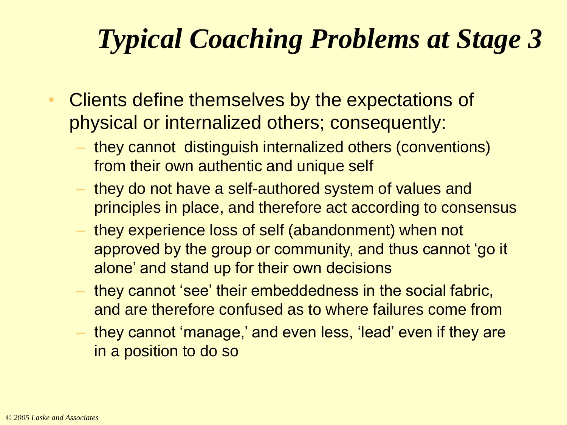# *Typical Coaching Problems at Stage 3*

- Clients define themselves by the expectations of physical or internalized others; consequently:
	- they cannot distinguish internalized others (conventions) from their own authentic and unique self
	- they do not have a self-authored system of values and principles in place, and therefore act according to consensus
	- they experience loss of self (abandonment) when not approved by the group or community, and thus cannot 'go it alone' and stand up for their own decisions
	- they cannot 'see' their embeddedness in the social fabric, and are therefore confused as to where failures come from
	- they cannot 'manage,' and even less, 'lead' even if they are in a position to do so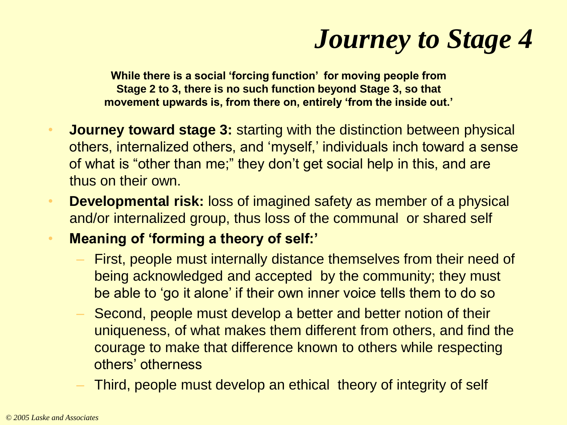# *Journey to Stage 4*

**While there is a social 'forcing function' for moving people from Stage 2 to 3, there is no such function beyond Stage 3, so that movement upwards is, from there on, entirely 'from the inside out.'**

- **Journey toward stage 3:** starting with the distinction between physical others, internalized others, and 'myself,' individuals inch toward a sense of what is "other than me;" they don't get social help in this, and are thus on their own.
- **Developmental risk:** loss of imagined safety as member of a physical and/or internalized group, thus loss of the communal or shared self
- **Meaning of 'forming a theory of self:'**
	- First, people must internally distance themselves from their need of being acknowledged and accepted by the community; they must be able to 'go it alone' if their own inner voice tells them to do so
	- Second, people must develop a better and better notion of their uniqueness, of what makes them different from others, and find the courage to make that difference known to others while respecting others' otherness
	- Third, people must develop an ethical theory of integrity of self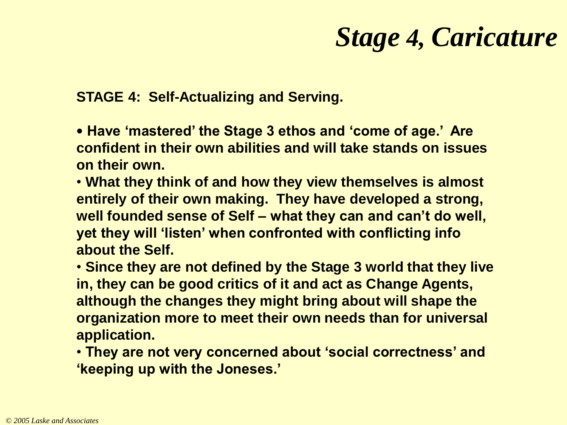### *Stage 4, Caricature*

**STAGE 4: Self-Actualizing and Serving.**

• **Have 'mastered' the Stage 3 ethos and 'come of age.' Are confident in their own abilities and will take stands on issues on their own.**

• **What they think of and how they view themselves is almost entirely of their own making. They have developed a strong, well founded sense of Self – what they can and can't do well, yet they will 'listen' when confronted with conflicting info about the Self.**

• **Since they are not defined by the Stage 3 world that they live in, they can be good critics of it and act as Change Agents, although the changes they might bring about will shape the organization more to meet their own needs than for universal application.**

• **They are not very concerned about 'social correctness' and 'keeping up with the Joneses.'**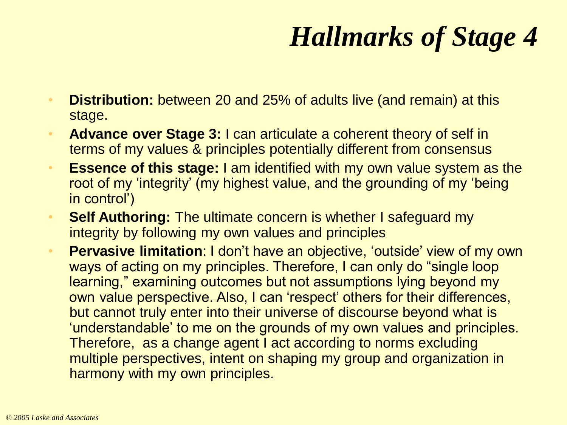# *Hallmarks of Stage 4*

- **Distribution:** between 20 and 25% of adults live (and remain) at this stage.
- **Advance over Stage 3:** I can articulate a coherent theory of self in terms of my values & principles potentially different from consensus
- **Essence of this stage:** I am identified with my own value system as the root of my 'integrity' (my highest value, and the grounding of my 'being in control')
- **Self Authoring:** The ultimate concern is whether I safeguard my integrity by following my own values and principles
- **Pervasive limitation**: I don't have an objective, 'outside' view of my own ways of acting on my principles. Therefore, I can only do "single loop learning," examining outcomes but not assumptions lying beyond my own value perspective. Also, I can 'respect' others for their differences, but cannot truly enter into their universe of discourse beyond what is 'understandable' to me on the grounds of my own values and principles. Therefore, as a change agent I act according to norms excluding multiple perspectives, intent on shaping my group and organization in harmony with my own principles.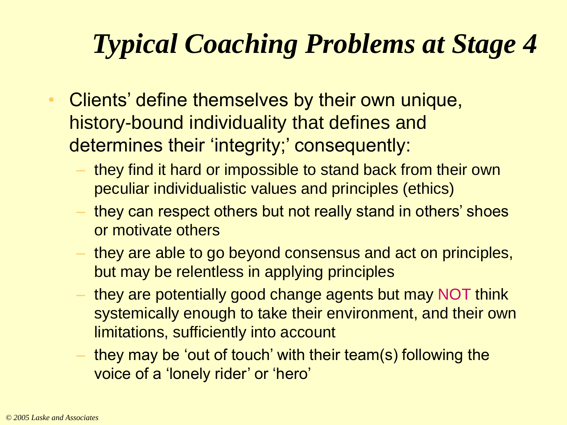# *Typical Coaching Problems at Stage 4*

- Clients' define themselves by their own unique, history-bound individuality that defines and determines their 'integrity;' consequently:
	- they find it hard or impossible to stand back from their own peculiar individualistic values and principles (ethics)
	- they can respect others but not really stand in others' shoes or motivate others
	- they are able to go beyond consensus and act on principles, but may be relentless in applying principles
	- they are potentially good change agents but may NOT think systemically enough to take their environment, and their own limitations, sufficiently into account
	- they may be 'out of touch' with their team(s) following the voice of a 'lonely rider' or 'hero'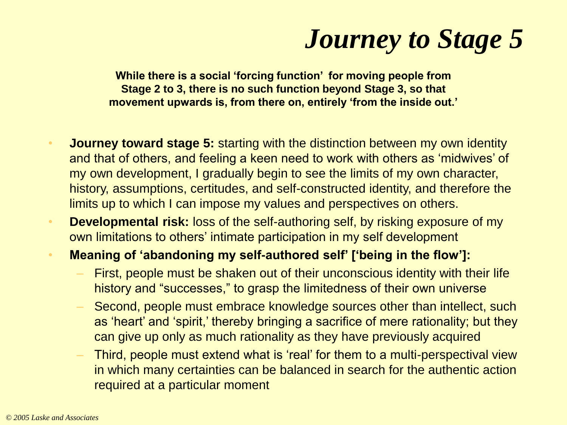## *Journey to Stage 5*

**While there is a social 'forcing function' for moving people from Stage 2 to 3, there is no such function beyond Stage 3, so that movement upwards is, from there on, entirely 'from the inside out.'**

- **Journey toward stage 5:** starting with the distinction between my own identity and that of others, and feeling a keen need to work with others as 'midwives' of my own development, I gradually begin to see the limits of my own character, history, assumptions, certitudes, and self-constructed identity, and therefore the limits up to which I can impose my values and perspectives on others.
- **Developmental risk:** loss of the self-authoring self, by risking exposure of my own limitations to others' intimate participation in my self development
- **Meaning of 'abandoning my self-authored self' ['being in the flow']:**
	- First, people must be shaken out of their unconscious identity with their life history and "successes," to grasp the limitedness of their own universe
	- Second, people must embrace knowledge sources other than intellect, such as 'heart' and 'spirit,' thereby bringing a sacrifice of mere rationality; but they can give up only as much rationality as they have previously acquired
	- Third, people must extend what is 'real' for them to a multi-perspectival view in which many certainties can be balanced in search for the authentic action required at a particular moment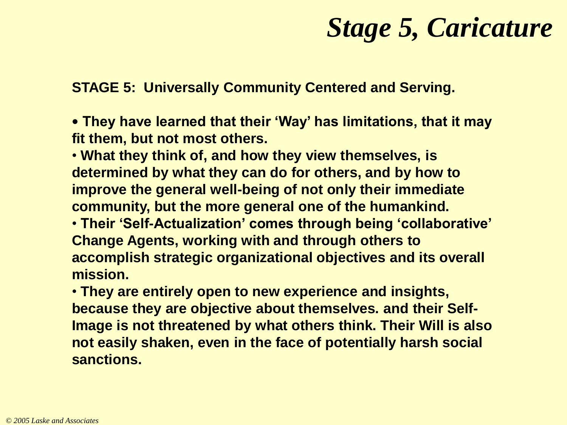#### *Stage 5, Caricature*

**STAGE 5: Universally Community Centered and Serving.**

• **They have learned that their 'Way' has limitations, that it may fit them, but not most others.** 

• **What they think of, and how they view themselves, is determined by what they can do for others, and by how to improve the general well-being of not only their immediate community, but the more general one of the humankind.**

• **Their 'Self-Actualization' comes through being 'collaborative' Change Agents, working with and through others to accomplish strategic organizational objectives and its overall mission.**

• **They are entirely open to new experience and insights, because they are objective about themselves. and their Self-Image is not threatened by what others think. Their Will is also not easily shaken, even in the face of potentially harsh social sanctions.**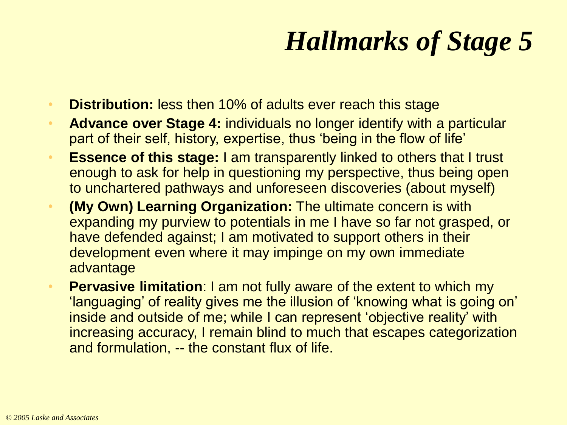# *Hallmarks of Stage 5*

- **Distribution:** less then 10% of adults ever reach this stage
- **Advance over Stage 4:** individuals no longer identify with a particular part of their self, history, expertise, thus 'being in the flow of life'
- **Essence of this stage:** I am transparently linked to others that I trust enough to ask for help in questioning my perspective, thus being open to unchartered pathways and unforeseen discoveries (about myself)
- **(My Own) Learning Organization:** The ultimate concern is with expanding my purview to potentials in me I have so far not grasped, or have defended against; I am motivated to support others in their development even where it may impinge on my own immediate advantage
- **Pervasive limitation**: I am not fully aware of the extent to which my 'languaging' of reality gives me the illusion of 'knowing what is going on' inside and outside of me; while I can represent 'objective reality' with increasing accuracy, I remain blind to much that escapes categorization and formulation, -- the constant flux of life.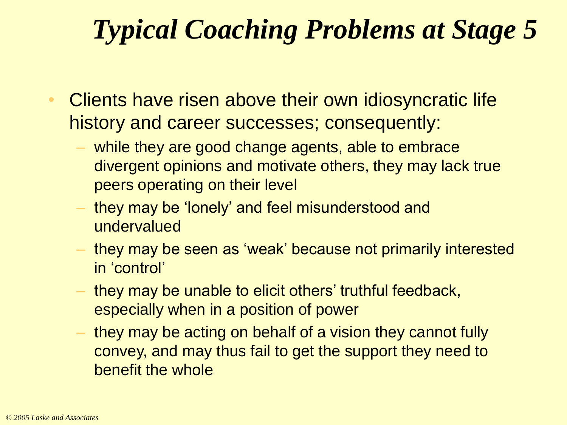# *Typical Coaching Problems at Stage 5*

- Clients have risen above their own idiosyncratic life history and career successes; consequently:
	- while they are good change agents, able to embrace divergent opinions and motivate others, they may lack true peers operating on their level
	- they may be 'lonely' and feel misunderstood and undervalued
	- they may be seen as 'weak' because not primarily interested in 'control'
	- they may be unable to elicit others' truthful feedback, especially when in a position of power
	- they may be acting on behalf of a vision they cannot fully convey, and may thus fail to get the support they need to benefit the whole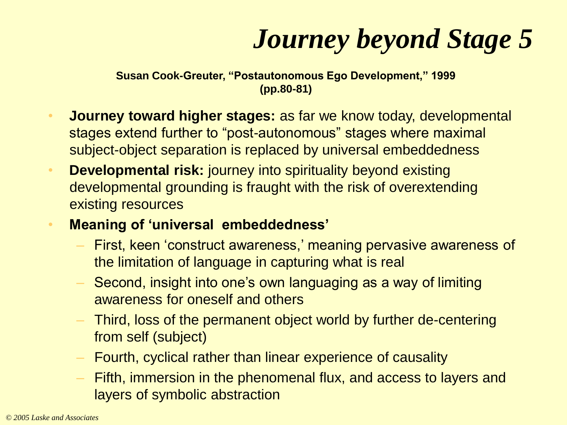# *Journey beyond Stage 5*

**Susan Cook-Greuter, "Postautonomous Ego Development," 1999 (pp.80-81)**

- **Journey toward higher stages:** as far we know today, developmental stages extend further to "post-autonomous" stages where maximal subject-object separation is replaced by universal embeddedness
- **Developmental risk:** journey into spirituality beyond existing developmental grounding is fraught with the risk of overextending existing resources
- **Meaning of 'universal embeddedness'**
	- First, keen 'construct awareness,' meaning pervasive awareness of the limitation of language in capturing what is real
	- Second, insight into one's own languaging as a way of limiting awareness for oneself and others
	- Third, loss of the permanent object world by further de-centering from self (subject)
	- Fourth, cyclical rather than linear experience of causality
	- Fifth, immersion in the phenomenal flux, and access to layers and layers of symbolic abstraction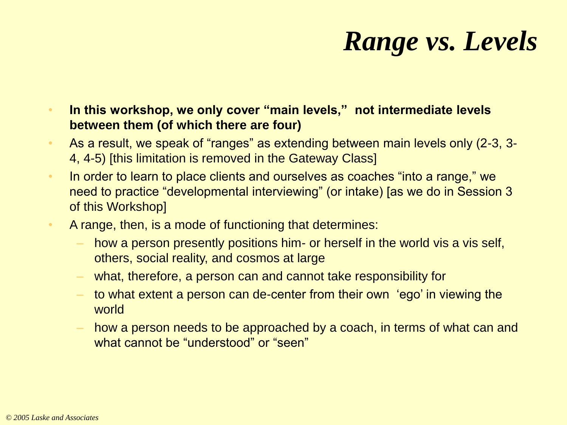# *Range vs. Levels*

• **In this workshop, we only cover "main levels," not intermediate levels between them (of which there are four)**

- As a result, we speak of "ranges" as extending between main levels only (2-3, 3-4, 4-5) [this limitation is removed in the Gateway Class]
- In order to learn to place clients and ourselves as coaches "into a range," we need to practice "developmental interviewing" (or intake) [as we do in Session 3 of this Workshop]
- A range, then, is a mode of functioning that determines:
	- how a person presently positions him- or herself in the world vis a vis self, others, social reality, and cosmos at large
	- what, therefore, a person can and cannot take responsibility for
	- to what extent a person can de-center from their own 'ego' in viewing the world
	- how a person needs to be approached by a coach, in terms of what can and what cannot be "understood" or "seen"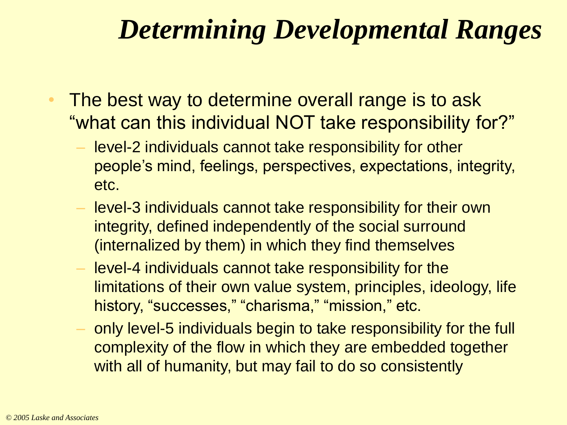## *Determining Developmental Ranges*

- The best way to determine overall range is to ask "what can this individual NOT take responsibility for?"
	- level-2 individuals cannot take responsibility for other people's mind, feelings, perspectives, expectations, integrity, etc.
	- level-3 individuals cannot take responsibility for their own integrity, defined independently of the social surround (internalized by them) in which they find themselves
	- level-4 individuals cannot take responsibility for the limitations of their own value system, principles, ideology, life history, "successes," "charisma," "mission," etc.
	- only level-5 individuals begin to take responsibility for the full complexity of the flow in which they are embedded together with all of humanity, but may fail to do so consistently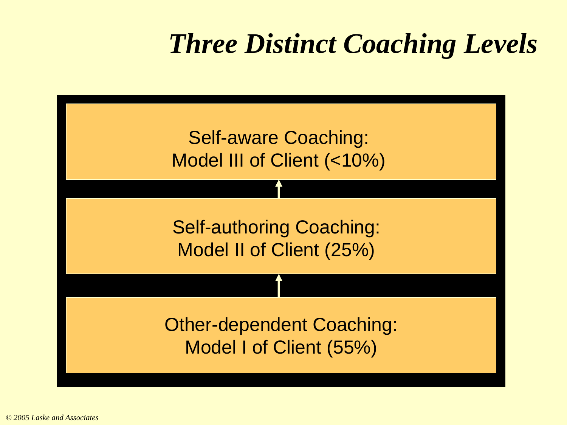# *Three Distinct Coaching Levels*

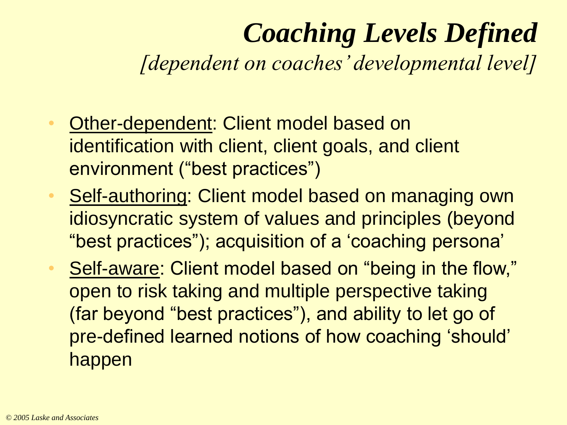# *Coaching Levels Defined*

*[dependent on coaches' developmental level]*

- Other-dependent: Client model based on identification with client, client goals, and client environment ("best practices")
- Self-authoring: Client model based on managing own idiosyncratic system of values and principles (beyond "best practices"); acquisition of a 'coaching persona'
- Self-aware: Client model based on "being in the flow," open to risk taking and multiple perspective taking (far beyond "best practices"), and ability to let go of pre-defined learned notions of how coaching 'should' happen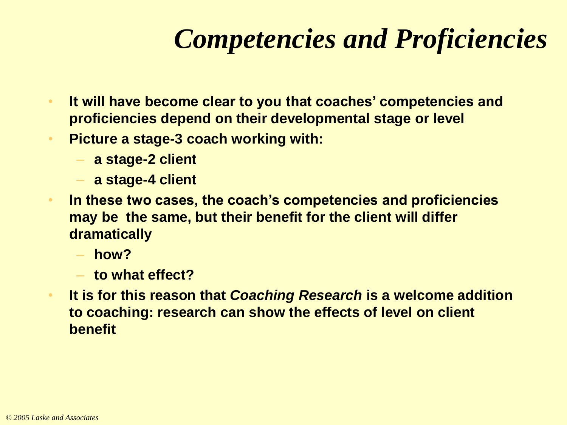# *Competencies and Proficiencies*

- **It will have become clear to you that coaches' competencies and proficiencies depend on their developmental stage or level**
- **Picture a stage-3 coach working with:**
	- **a stage-2 client**
	- **a stage-4 client**
- **In these two cases, the coach's competencies and proficiencies may be the same, but their benefit for the client will differ dramatically**
	- **how?**
	- **to what effect?**
- **It is for this reason that** *Coaching Research* **is a welcome addition to coaching: research can show the effects of level on client benefit**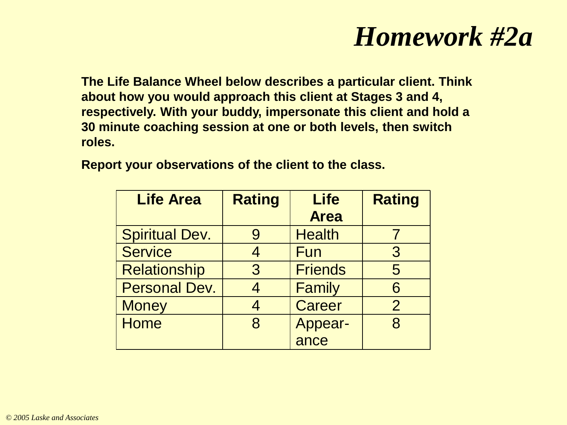#### *Homework #2a*

**The Life Balance Wheel below describes a particular client. Think about how you would approach this client at Stages 3 and 4, respectively. With your buddy, impersonate this client and hold a 30 minute coaching session at one or both levels, then switch roles.** 

| <b>Life Area</b>      | <b>Rating</b> | <b>Life</b><br><b>Area</b> | <b>Rating</b>  |
|-----------------------|---------------|----------------------------|----------------|
| <b>Spiritual Dev.</b> | 9             | <b>Health</b>              |                |
| <b>Service</b>        | 4             | Fun                        | $\overline{3}$ |
| <b>Relationship</b>   | 3             | <b>Friends</b>             | 5              |
| <b>Personal Dev.</b>  |               | Family                     | 6              |
| <b>Money</b>          | 4             | <b>Career</b>              | $\overline{2}$ |
| <b>Home</b>           | 8             | Appear-                    | 8              |
|                       |               | ance                       |                |

**Report your observations of the client to the class.**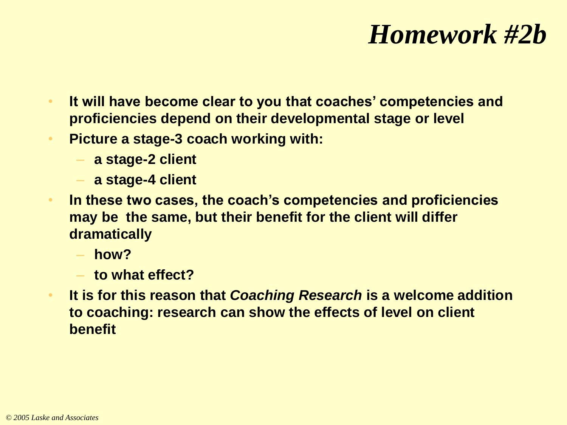### *Homework #2b*

- **It will have become clear to you that coaches' competencies and proficiencies depend on their developmental stage or level**
- **Picture a stage-3 coach working with:**
	- **a stage-2 client**
	- **a stage-4 client**
- **In these two cases, the coach's competencies and proficiencies may be the same, but their benefit for the client will differ dramatically**
	- **how?**
	- **to what effect?**
- **It is for this reason that** *Coaching Research* **is a welcome addition to coaching: research can show the effects of level on client benefit**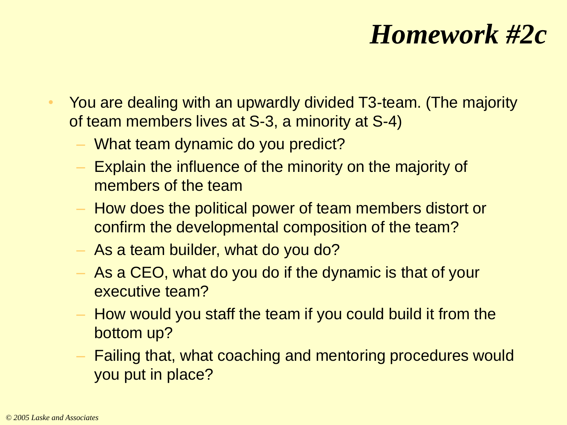## *Homework #2c*

- You are dealing with an upwardly divided T3-team. (The majority of team members lives at S-3, a minority at S-4)
	- What team dynamic do you predict?
	- Explain the influence of the minority on the majority of members of the team
	- How does the political power of team members distort or confirm the developmental composition of the team?
	- As a team builder, what do you do?
	- As a CEO, what do you do if the dynamic is that of your executive team?
	- How would you staff the team if you could build it from the bottom up?
	- Failing that, what coaching and mentoring procedures would you put in place?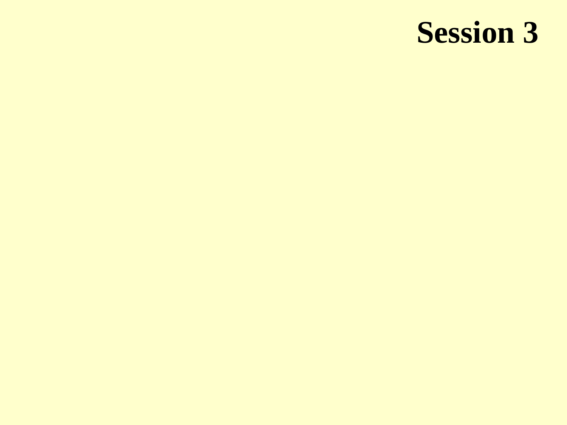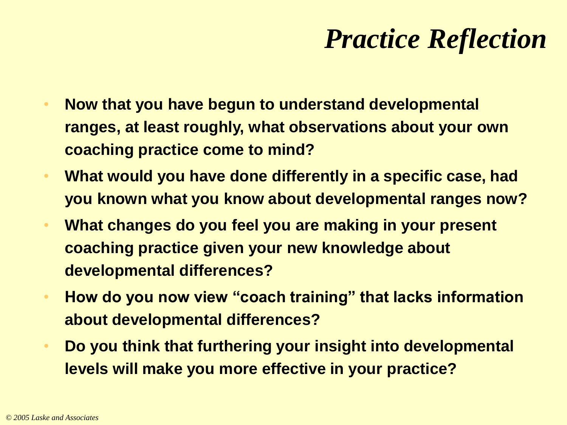## *Practice Reflection*

- **Now that you have begun to understand developmental ranges, at least roughly, what observations about your own coaching practice come to mind?**
- **What would you have done differently in a specific case, had you known what you know about developmental ranges now?**
- **What changes do you feel you are making in your present coaching practice given your new knowledge about developmental differences?**
- **How do you now view "coach training" that lacks information about developmental differences?**
- **Do you think that furthering your insight into developmental levels will make you more effective in your practice?**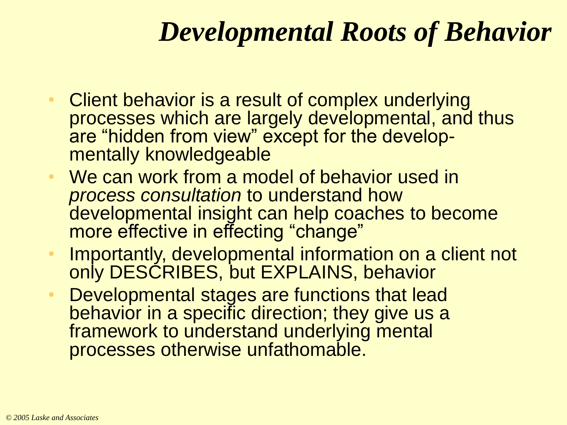## *Developmental Roots of Behavior*

- Client behavior is a result of complex underlying processes which are largely developmental, and thus are "hidden from view" except for the developmentally knowledgeable
- We can work from a model of behavior used in *process consultation* to understand how developmental insight can help coaches to become more effective in effecting "change"
- Importantly, developmental information on a client not only DESCRIBES, but EXPLAINS, behavior
- Developmental stages are functions that lead behavior in a specific direction; they give us a framework to understand underlying mental processes otherwise unfathomable.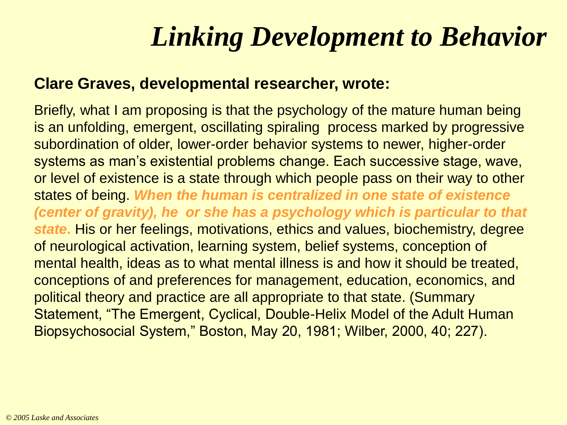# *Linking Development to Behavior*

#### **Clare Graves, developmental researcher, wrote:**

Briefly, what I am proposing is that the psychology of the mature human being is an unfolding, emergent, oscillating spiraling process marked by progressive subordination of older, lower-order behavior systems to newer, higher-order systems as man's existential problems change. Each successive stage, wave, or level of existence is a state through which people pass on their way to other states of being. *When the human is centralized in one state of existence (center of gravity), he or she has a psychology which is particular to that state***.** His or her feelings, motivations, ethics and values, biochemistry, degree of neurological activation, learning system, belief systems, conception of mental health, ideas as to what mental illness is and how it should be treated, conceptions of and preferences for management, education, economics, and political theory and practice are all appropriate to that state. (Summary Statement, "The Emergent, Cyclical, Double-Helix Model of the Adult Human Biopsychosocial System," Boston, May 20, 1981; Wilber, 2000, 40; 227).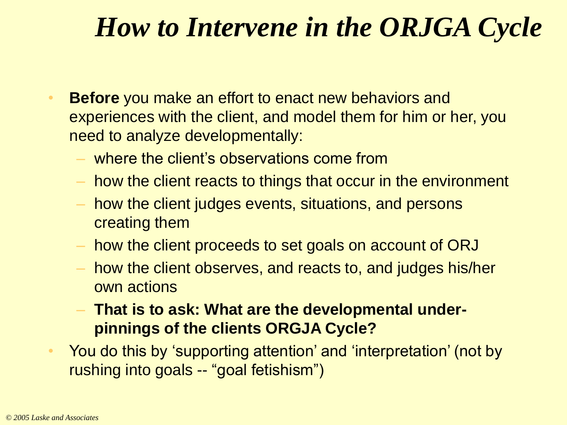### *How to Intervene in the ORJGA Cycle*

- **Before** you make an effort to enact new behaviors and experiences with the client, and model them for him or her, you need to analyze developmentally:
	- where the client's observations come from
	- how the client reacts to things that occur in the environment
	- how the client judges events, situations, and persons creating them
	- how the client proceeds to set goals on account of ORJ
	- how the client observes, and reacts to, and judges his/her own actions
	- **That is to ask: What are the developmental underpinnings of the clients ORGJA Cycle?**
- You do this by 'supporting attention' and 'interpretation' (not by rushing into goals -- "goal fetishism")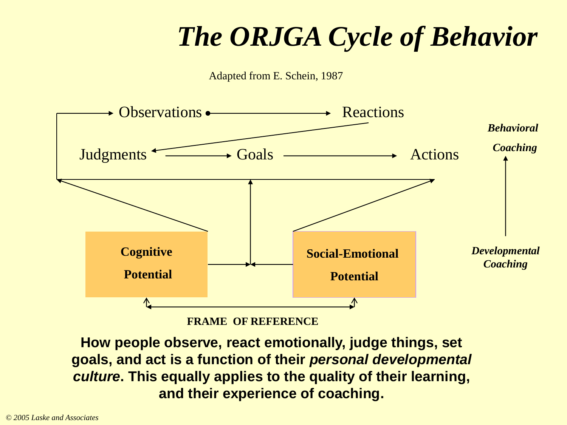# *The ORJGA Cycle of Behavior*





**FRAME OF REFERENCE**

**How people observe, react emotionally, judge things, set goals, and act is a function of their** *personal developmental culture***. This equally applies to the quality of their learning, and their experience of coaching.**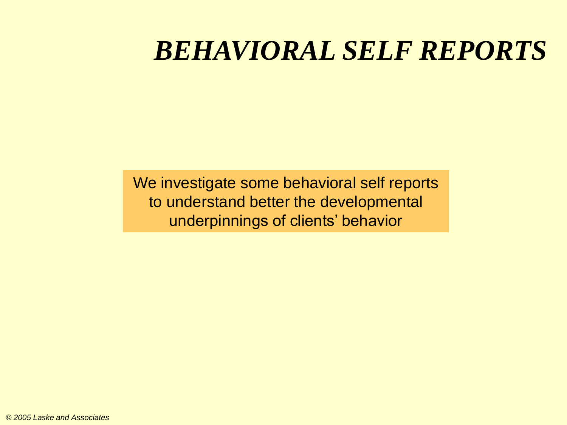#### *BEHAVIORAL SELF REPORTS*

We investigate some behavioral self reports to understand better the developmental underpinnings of clients' behavior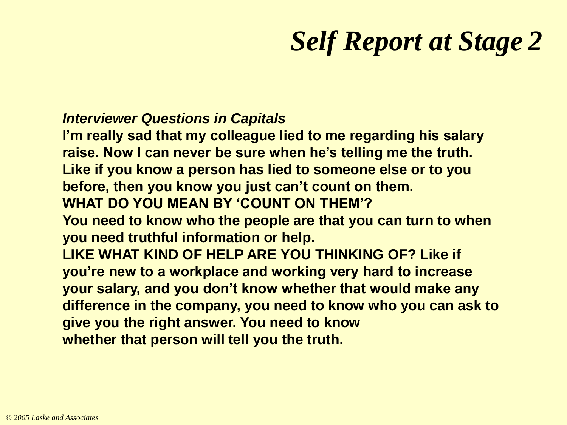# *Self Report at Stage 2*

#### *Interviewer Questions in Capitals*

**I'm really sad that my colleague lied to me regarding his salary raise. Now I can never be sure when he's telling me the truth. Like if you know a person has lied to someone else or to you before, then you know you just can't count on them. WHAT DO YOU MEAN BY 'COUNT ON THEM'? You need to know who the people are that you can turn to when you need truthful information or help. LIKE WHAT KIND OF HELP ARE YOU THINKING OF? Like if you're new to a workplace and working very hard to increase your salary, and you don't know whether that would make any difference in the company, you need to know who you can ask to give you the right answer. You need to know whether that person will tell you the truth.**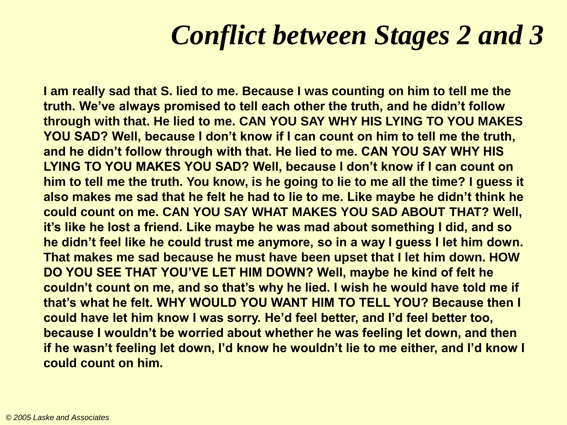## *Conflict between Stages 2 and 3*

**I am really sad that S. lied to me. Because I was counting on him to tell me the truth. We've always promised to tell each other the truth, and he didn't follow through with that. He lied to me. CAN YOU SAY WHY HIS LYING TO YOU MAKES YOU SAD? Well, because I don't know if I can count on him to tell me the truth, and he didn't follow through with that. He lied to me. CAN YOU SAY WHY HIS LYING TO YOU MAKES YOU SAD? Well, because I don't know if I can count on him to tell me the truth. You know, is he going to lie to me all the time? I guess it also makes me sad that he felt he had to lie to me. Like maybe he didn't think he could count on me. CAN YOU SAY WHAT MAKES YOU SAD ABOUT THAT? Well, it's like he lost a friend. Like maybe he was mad about something I did, and so he didn't feel like he could trust me anymore, so in a way I guess I let him down. That makes me sad because he must have been upset that I let him down. HOW DO YOU SEE THAT YOU'VE LET HIM DOWN? Well, maybe he kind of felt he couldn't count on me, and so that's why he lied. I wish he would have told me if that's what he felt. WHY WOULD YOU WANT HIM TO TELL YOU? Because then I could have let him know I was sorry. He'd feel better, and I'd feel better too, because I wouldn't be worried about whether he was feeling let down, and then if he wasn't feeling let down, I'd know he wouldn't lie to me either, and I'd know I could count on him.**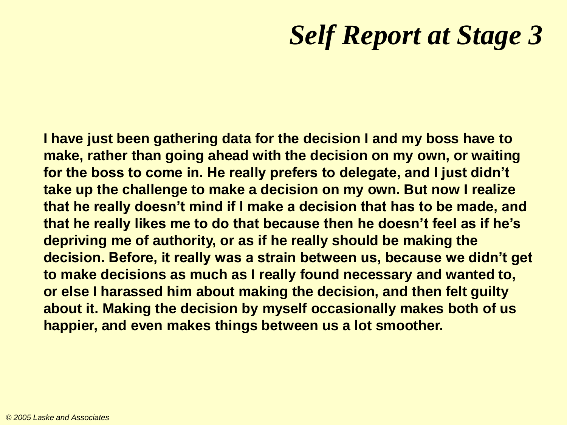## *Self Report at Stage 3*

**I have just been gathering data for the decision I and my boss have to make, rather than going ahead with the decision on my own, or waiting for the boss to come in. He really prefers to delegate, and I just didn't take up the challenge to make a decision on my own. But now I realize that he really doesn't mind if I make a decision that has to be made, and that he really likes me to do that because then he doesn't feel as if he's depriving me of authority, or as if he really should be making the decision. Before, it really was a strain between us, because we didn't get to make decisions as much as I really found necessary and wanted to, or else I harassed him about making the decision, and then felt guilty about it. Making the decision by myself occasionally makes both of us happier, and even makes things between us a lot smoother.**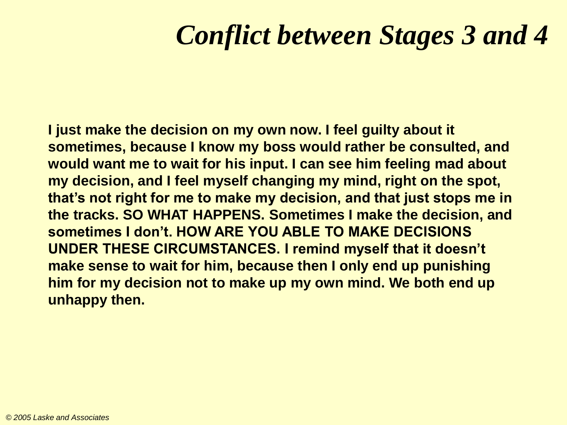## *Conflict between Stages 3 and 4*

**I just make the decision on my own now. I feel guilty about it sometimes, because I know my boss would rather be consulted, and would want me to wait for his input. I can see him feeling mad about my decision, and I feel myself changing my mind, right on the spot, that's not right for me to make my decision, and that just stops me in the tracks. SO WHAT HAPPENS. Sometimes I make the decision, and sometimes I don't. HOW ARE YOU ABLE TO MAKE DECISIONS UNDER THESE CIRCUMSTANCES. I remind myself that it doesn't make sense to wait for him, because then I only end up punishing him for my decision not to make up my own mind. We both end up unhappy then.**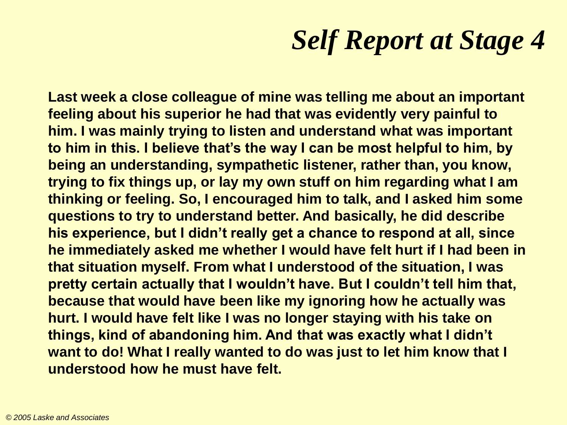# *Self Report at Stage 4*

**Last week a close colleague of mine was telling me about an important feeling about his superior he had that was evidently very painful to him. I was mainly trying to listen and understand what was important to him in this. I believe that's the way I can be most helpful to him, by being an understanding, sympathetic listener, rather than, you know, trying to fix things up, or lay my own stuff on him regarding what I am thinking or feeling. So, I encouraged him to talk, and I asked him some questions to try to understand better. And basically, he did describe his experience, but I didn't really get a chance to respond at all, since he immediately asked me whether I would have felt hurt if I had been in that situation myself. From what I understood of the situation, I was pretty certain actually that I wouldn't have. But I couldn't tell him that, because that would have been like my ignoring how he actually was hurt. I would have felt like I was no longer staying with his take on things, kind of abandoning him. And that was exactly what I didn't want to do! What I really wanted to do was just to let him know that I understood how he must have felt.**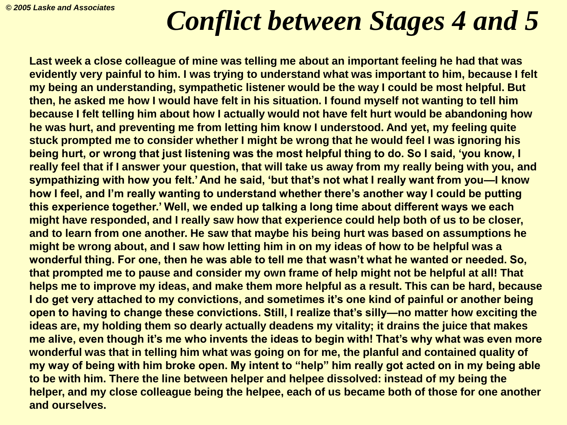# *Conflict between Stages 4 and 5*

**Last week a close colleague of mine was telling me about an important feeling he had that was evidently very painful to him. I was trying to understand what was important to him, because I felt my being an understanding, sympathetic listener would be the way I could be most helpful. But then, he asked me how I would have felt in his situation. I found myself not wanting to tell him because I felt telling him about how I actually would not have felt hurt would be abandoning how he was hurt, and preventing me from letting him know I understood. And yet, my feeling quite stuck prompted me to consider whether I might be wrong that he would feel I was ignoring his being hurt, or wrong that just listening was the most helpful thing to do. So I said, 'you know, I really feel that if I answer your question, that will take us away from my really being with you, and sympathizing with how you felt.' And he said, 'but that's not what I really want from you—I know how I feel, and I'm really wanting to understand whether there's another way I could be putting this experience together.' Well, we ended up talking a long time about different ways we each might have responded, and I really saw how that experience could help both of us to be closer, and to learn from one another. He saw that maybe his being hurt was based on assumptions he might be wrong about, and I saw how letting him in on my ideas of how to be helpful was a wonderful thing. For one, then he was able to tell me that wasn't what he wanted or needed. So, that prompted me to pause and consider my own frame of help might not be helpful at all! That helps me to improve my ideas, and make them more helpful as a result. This can be hard, because I do get very attached to my convictions, and sometimes it's one kind of painful or another being open to having to change these convictions. Still, I realize that's silly—no matter how exciting the ideas are, my holding them so dearly actually deadens my vitality; it drains the juice that makes me alive, even though it's me who invents the ideas to begin with! That's why what was even more wonderful was that in telling him what was going on for me, the planful and contained quality of my way of being with him broke open. My intent to "help" him really got acted on in my being able to be with him. There the line between helper and helpee dissolved: instead of my being the helper, and my close colleague being the helpee, each of us became both of those for one another and ourselves.**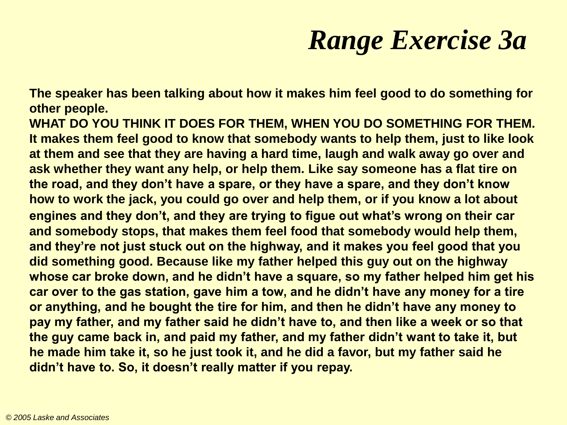# *Range Exercise 3a*

**The speaker has been talking about how it makes him feel good to do something for other people.**

**WHAT DO YOU THINK IT DOES FOR THEM, WHEN YOU DO SOMETHING FOR THEM. It makes them feel good to know that somebody wants to help them, just to like look at them and see that they are having a hard time, laugh and walk away go over and ask whether they want any help, or help them. Like say someone has a flat tire on the road, and they don't have a spare, or they have a spare, and they don't know how to work the jack, you could go over and help them, or if you know a lot about engines and they don't, and they are trying to figue out what's wrong on their car and somebody stops, that makes them feel food that somebody would help them, and they're not just stuck out on the highway, and it makes you feel good that you did something good. Because like my father helped this guy out on the highway whose car broke down, and he didn't have a square, so my father helped him get his car over to the gas station, gave him a tow, and he didn't have any money for a tire or anything, and he bought the tire for him, and then he didn't have any money to pay my father, and my father said he didn't have to, and then like a week or so that the guy came back in, and paid my father, and my father didn't want to take it, but he made him take it, so he just took it, and he did a favor, but my father said he didn't have to. So, it doesn't really matter if you repay.**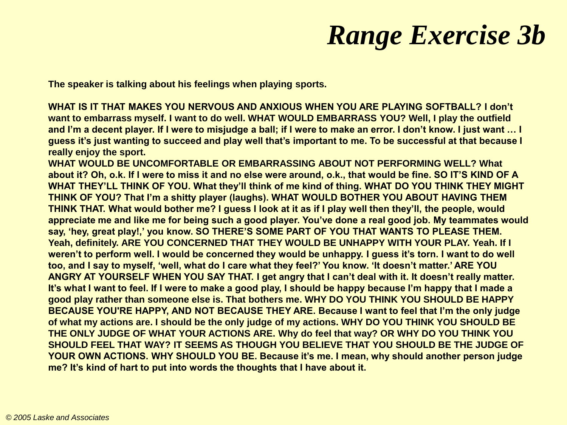# *Range Exercise 3b*

**The speaker is talking about his feelings when playing sports.** 

**WHAT IS IT THAT MAKES YOU NERVOUS AND ANXIOUS WHEN YOU ARE PLAYING SOFTBALL? I don't want to embarrass myself. I want to do well. WHAT WOULD EMBARRASS YOU? Well, I play the outfield and I'm a decent player. If I were to misjudge a ball; if I were to make an error. I don't know. I just want … I guess it's just wanting to succeed and play well that's important to me. To be successful at that because I really enjoy the sport.** 

**WHAT WOULD BE UNCOMFORTABLE OR EMBARRASSING ABOUT NOT PERFORMING WELL? What about it? Oh, o.k. If I were to miss it and no else were around, o.k., that would be fine. SO IT'S KIND OF A WHAT THEY'LL THINK OF YOU. What they'll think of me kind of thing. WHAT DO YOU THINK THEY MIGHT THINK OF YOU? That I'm a shitty player (laughs). WHAT WOULD BOTHER YOU ABOUT HAVING THEM THINK THAT. What would bother me? I guess I look at it as if I play well then they'll, the people, would appreciate me and like me for being such a good player. You've done a real good job. My teammates would say, 'hey, great play!,' you know. SO THERE'S SOME PART OF YOU THAT WANTS TO PLEASE THEM. Yeah, definitely. ARE YOU CONCERNED THAT THEY WOULD BE UNHAPPY WITH YOUR PLAY. Yeah. If I weren't to perform well. I would be concerned they would be unhappy. I guess it's torn. I want to do well too, and I say to myself, 'well, what do I care what they feel?' You know. 'It doesn't matter.' ARE YOU ANGRY AT YOURSELF WHEN YOU SAY THAT. I get angry that I can't deal with it. It doesn't really matter. It's what I want to feel. If I were to make a good play, I should be happy because I'm happy that I made a good play rather than someone else is. That bothers me. WHY DO YOU THINK YOU SHOULD BE HAPPY BECAUSE YOU'RE HAPPY, AND NOT BECAUSE THEY ARE. Because I want to feel that I'm the only judge of what my actions are. I should be the only judge of my actions. WHY DO YOU THINK YOU SHOULD BE THE ONLY JUDGE OF WHAT YOUR ACTIONS ARE. Why do feel that way? OR WHY DO YOU THINK YOU SHOULD FEEL THAT WAY? IT SEEMS AS THOUGH YOU BELIEVE THAT YOU SHOULD BE THE JUDGE OF YOUR OWN ACTIONS. WHY SHOULD YOU BE. Because it's me. I mean, why should another person judge me? It's kind of hart to put into words the thoughts that I have about it.**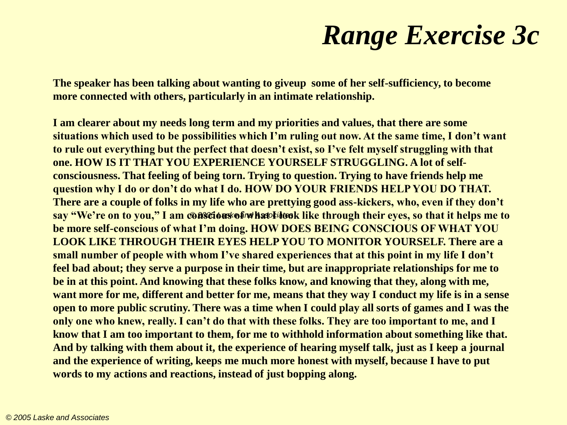# *Range Exercise 3c*

**The speaker has been talking about wanting to giveup some of her self-sufficiency, to become more connected with others, particularly in an intimate relationship.**

**I am clearer about my needs long term and my priorities and values, that there are some situations which used to be possibilities which I'm ruling out now. At the same time, I don't want to rule out everything but the perfect that doesn't exist, so I've felt myself struggling with that one. HOW IS IT THAT YOU EXPERIENCE YOURSELF STRUGGLING. A lot of selfconsciousness. That feeling of being torn. Trying to question. Trying to have friends help me question why I do or don't do what I do. HOW DO YOUR FRIENDS HELP YOU DO THAT. There are a couple of folks in my life who are prettying good ass-kickers, who, even if they don't**  say "We're on to you," I am **@A%@6a%ofwhatcld@k** like through their eyes, so that it helps me to **be more self-conscious of what I'm doing. HOW DOES BEING CONSCIOUS OF WHAT YOU LOOK LIKE THROUGH THEIR EYES HELP YOU TO MONITOR YOURSELF. There are a small number of people with whom I've shared experiences that at this point in my life I don't feel bad about; they serve a purpose in their time, but are inappropriate relationships for me to be in at this point. And knowing that these folks know, and knowing that they, along with me, want more for me, different and better for me, means that they way I conduct my life is in a sense open to more public scrutiny. There was a time when I could play all sorts of games and I was the only one who knew, really. I can't do that with these folks. They are too important to me, and I know that I am too important to them, for me to withhold information about something like that. And by talking with them about it, the experience of hearing myself talk, just as I keep a journal and the experience of writing, keeps me much more honest with myself, because I have to put words to my actions and reactions, instead of just bopping along.**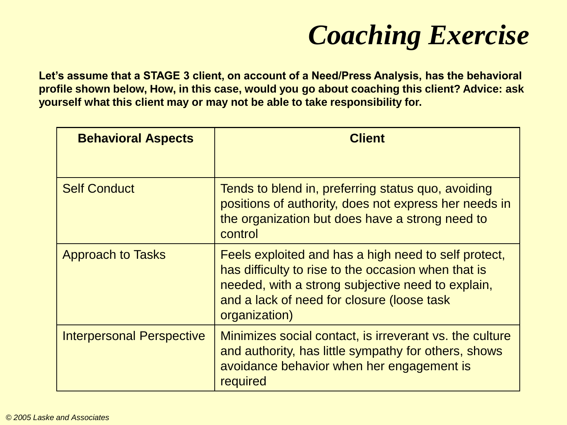# *Coaching Exercise*

**Let's assume that a STAGE 3 client, on account of a Need/Press Analysis, has the behavioral profile shown below, How, in this case, would you go about coaching this client? Advice: ask yourself what this client may or may not be able to take responsibility for.**

| <b>Behavioral Aspects</b>        | <b>Client</b>                                                                                                                                                                                                                   |
|----------------------------------|---------------------------------------------------------------------------------------------------------------------------------------------------------------------------------------------------------------------------------|
| <b>Self Conduct</b>              | Tends to blend in, preferring status quo, avoiding<br>positions of authority, does not express her needs in<br>the organization but does have a strong need to<br>control                                                       |
| <b>Approach to Tasks</b>         | Feels exploited and has a high need to self protect,<br>has difficulty to rise to the occasion when that is<br>needed, with a strong subjective need to explain,<br>and a lack of need for closure (loose task<br>organization) |
| <b>Interpersonal Perspective</b> | Minimizes social contact, is irreverant vs. the culture<br>and authority, has little sympathy for others, shows<br>avoidance behavior when her engagement is<br>required                                                        |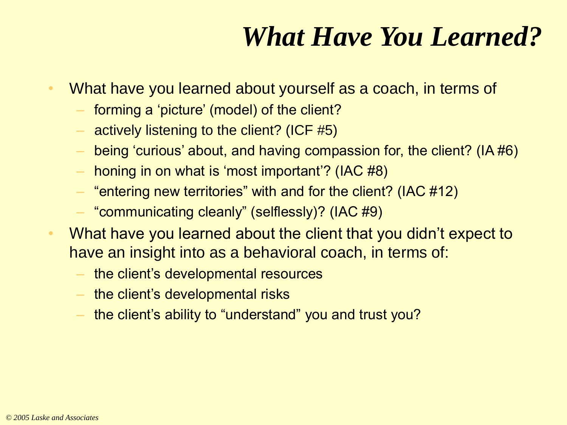# *What Have You Learned?*

- What have you learned about yourself as a coach, in terms of
	- forming a 'picture' (model) of the client?
	- actively listening to the client? (ICF #5)
	- being 'curious' about, and having compassion for, the client? (IA #6)
	- honing in on what is 'most important'? (IAC #8)
	- "entering new territories" with and for the client? (IAC  $\#12$ )
	- "communicating cleanly" (selflessly)? (IAC #9)
- What have you learned about the client that you didn't expect to have an insight into as a behavioral coach, in terms of:
	- the client's developmental resources
	- the client's developmental risks
	- the client's ability to "understand" you and trust you?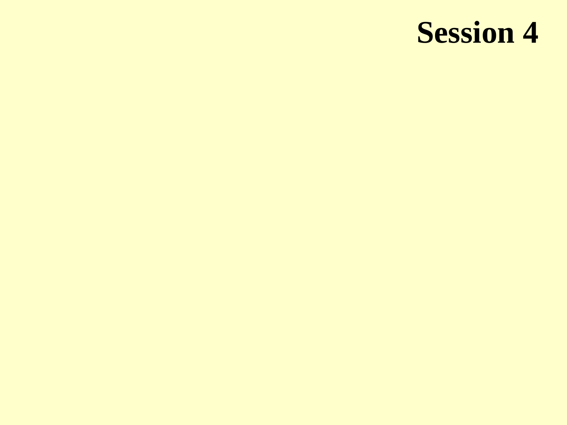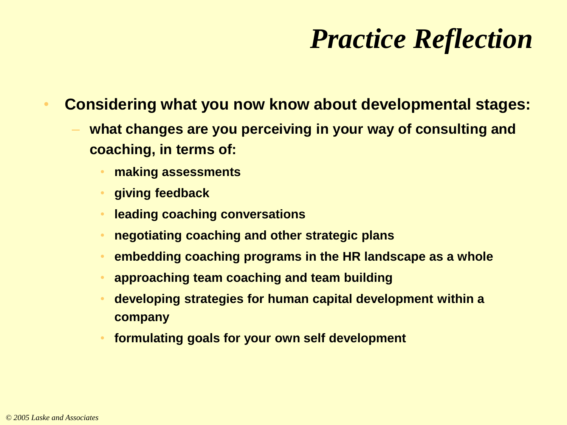# *Practice Reflection*

- **Considering what you now know about developmental stages:**
	- **what changes are you perceiving in your way of consulting and coaching, in terms of:**
		- **making assessments**
		- **giving feedback**
		- **leading coaching conversations**
		- **negotiating coaching and other strategic plans**
		- **embedding coaching programs in the HR landscape as a whole**
		- **approaching team coaching and team building**
		- **developing strategies for human capital development within a company**
		- **formulating goals for your own self development**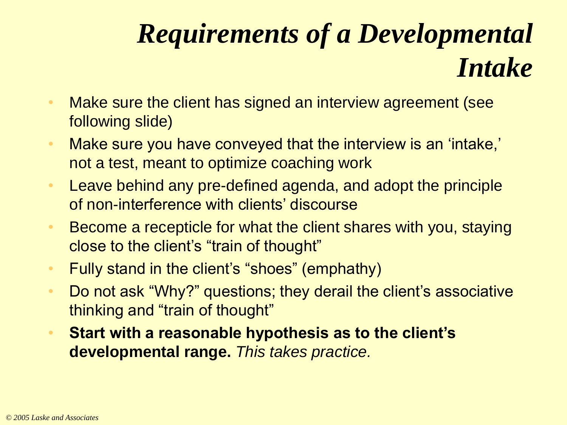# *Requirements of a Developmental Intake*

- Make sure the client has signed an interview agreement (see following slide)
- Make sure you have conveyed that the interview is an 'intake,' not a test, meant to optimize coaching work
- Leave behind any pre-defined agenda, and adopt the principle of non-interference with clients' discourse
- Become a recepticle for what the client shares with you, staying close to the client's "train of thought"
- Fully stand in the client's "shoes" (emphathy)
- Do not ask "Why?" questions; they derail the client's associative thinking and "train of thought"
- **Start with a reasonable hypothesis as to the client's developmental range.** *This takes practice.*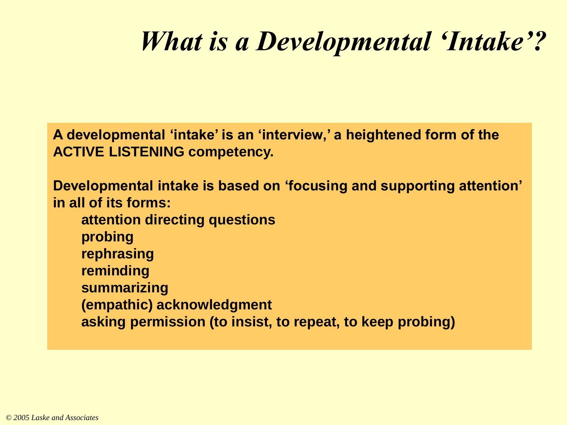# *What is a Developmental 'Intake'?*

**A developmental 'intake' is an 'interview,' a heightened form of the ACTIVE LISTENING competency.**

**Developmental intake is based on 'focusing and supporting attention' in all of its forms:**

**attention directing questions probing rephrasing reminding summarizing (empathic) acknowledgment asking permission (to insist, to repeat, to keep probing)**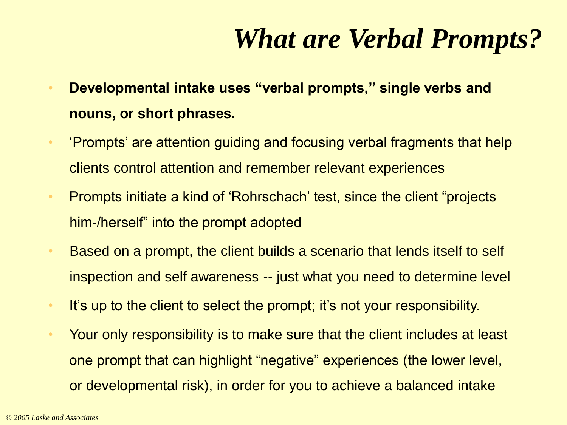# *What are Verbal Prompts?*

- **Developmental intake uses "verbal prompts," single verbs and nouns, or short phrases.**
- 'Prompts' are attention guiding and focusing verbal fragments that help clients control attention and remember relevant experiences
- Prompts initiate a kind of 'Rohrschach' test, since the client "projects" him-/herself" into the prompt adopted
- Based on a prompt, the client builds a scenario that lends itself to self inspection and self awareness -- just what you need to determine level
- It's up to the client to select the prompt; it's not your responsibility.
- Your only responsibility is to make sure that the client includes at least one prompt that can highlight "negative" experiences (the lower level, or developmental risk), in order for you to achieve a balanced intake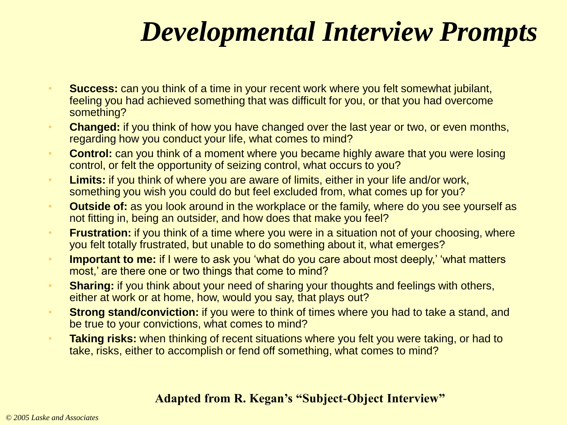# *Developmental Interview Prompts*

- **Success:** can you think of a time in your recent work where you felt somewhat jubilant, feeling you had achieved something that was difficult for you, or that you had overcome something?
- **Changed:** if you think of how you have changed over the last year or two, or even months, regarding how you conduct your life, what comes to mind?
- **Control:** can you think of a moment where you became highly aware that you were losing control, or felt the opportunity of seizing control, what occurs to you?
- **Limits:** if you think of where you are aware of limits, either in your life and/or work, something you wish you could do but feel excluded from, what comes up for you?
- **Outside of:** as you look around in the workplace or the family, where do you see yourself as not fitting in, being an outsider, and how does that make you feel?
- **Frustration:** if you think of a time where you were in a situation not of your choosing, where you felt totally frustrated, but unable to do something about it, what emerges?
- **Important to me:** if I were to ask you 'what do you care about most deeply,' 'what matters most,' are there one or two things that come to mind?
- **Sharing:** if you think about your need of sharing your thoughts and feelings with others, either at work or at home, how, would you say, that plays out?
- **Strong stand/conviction:** if you were to think of times where you had to take a stand, and be true to your convictions, what comes to mind?
- **Taking risks:** when thinking of recent situations where you felt you were taking, or had to take, risks, either to accomplish or fend off something, what comes to mind?

#### **Adapted from R. Kegan's "Subject-Object Interview"**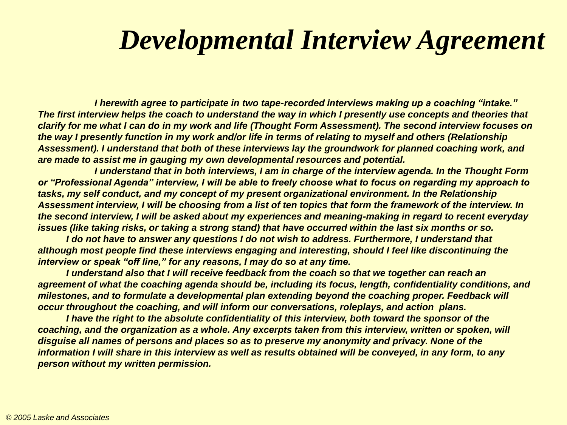### *Developmental Interview Agreement*

*I herewith agree to participate in two tape-recorded interviews making up a coaching "intake." The first interview helps the coach to understand the way in which I presently use concepts and theories that clarify for me what I can do in my work and life (Thought Form Assessment). The second interview focuses on the way I presently function in my work and/or life in terms of relating to myself and others (Relationship Assessment). I understand that both of these interviews lay the groundwork for planned coaching work, and are made to assist me in gauging my own developmental resources and potential.* 

*I understand that in both interviews, I am in charge of the interview agenda. In the Thought Form or "Professional Agenda" interview, I will be able to freely choose what to focus on regarding my approach to tasks, my self conduct, and my concept of my present organizational environment. In the Relationship Assessment interview, I will be choosing from a list of ten topics that form the framework of the interview. In the second interview, I will be asked about my experiences and meaning-making in regard to recent everyday issues (like taking risks, or taking a strong stand) that have occurred within the last six months or so.* 

*I do not have to answer any questions I do not wish to address. Furthermore, I understand that although most people find these interviews engaging and interesting, should I feel like discontinuing the interview or speak "off line," for any reasons, I may do so at any time.*

*I understand also that I will receive feedback from the coach so that we together can reach an agreement of what the coaching agenda should be, including its focus, length, confidentiality conditions, and milestones, and to formulate a developmental plan extending beyond the coaching proper. Feedback will occur throughout the coaching, and will inform our conversations, roleplays, and action plans.*

*I have the right to the absolute confidentiality of this interview, both toward the sponsor of the coaching, and the organization as a whole. Any excerpts taken from this interview, written or spoken, will disguise all names of persons and places so as to preserve my anonymity and privacy. None of the information I will share in this interview as well as results obtained will be conveyed, in any form, to any person without my written permission.*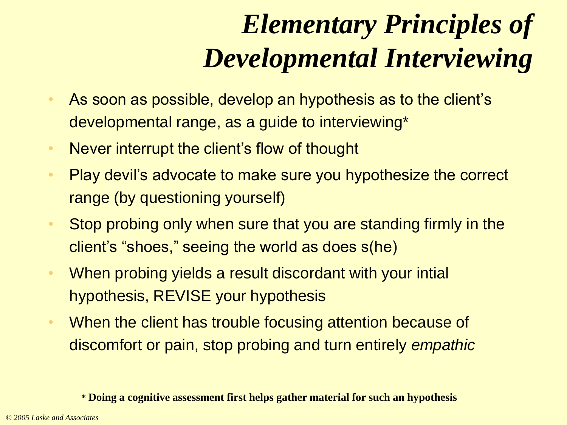# *Elementary Principles of Developmental Interviewing*

- As soon as possible, develop an hypothesis as to the client's developmental range, as a guide to interviewing\*
- Never interrupt the client's flow of thought
- Play devil's advocate to make sure you hypothesize the correct range (by questioning yourself)
- Stop probing only when sure that you are standing firmly in the client's "shoes," seeing the world as does s(he)
- When probing yields a result discordant with your intial hypothesis, REVISE your hypothesis
- When the client has trouble focusing attention because of discomfort or pain, stop probing and turn entirely *empathic*

**<sup>\*</sup> Doing a cognitive assessment first helps gather material for such an hypothesis**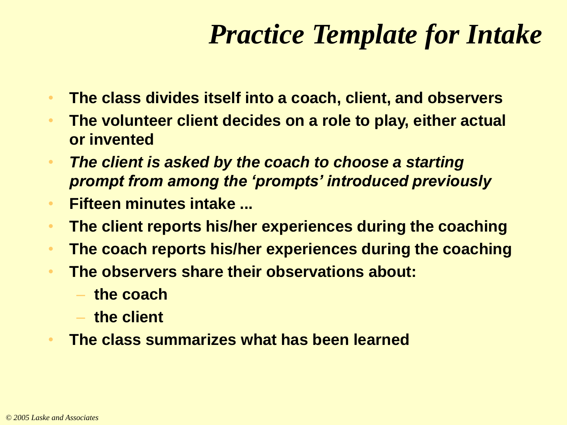# *Practice Template for Intake*

- **The class divides itself into a coach, client, and observers**
- **The volunteer client decides on a role to play, either actual or invented**
- *The client is asked by the coach to choose a starting prompt from among the 'prompts' introduced previously*
- **Fifteen minutes intake ...**
- **The client reports his/her experiences during the coaching**
- **The coach reports his/her experiences during the coaching**
- **The observers share their observations about:**
	- **the coach**
	- **the client**
- **The class summarizes what has been learned**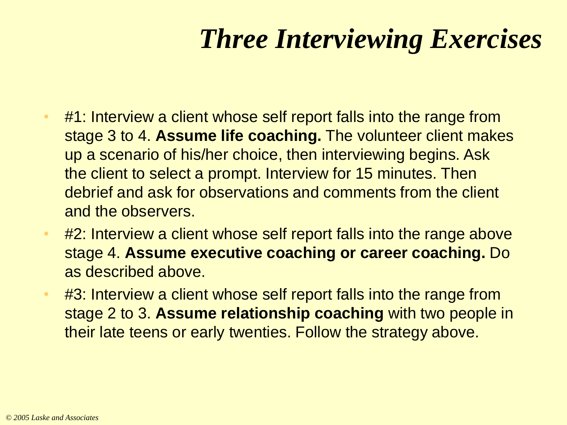# *Three Interviewing Exercises*

- #1: Interview a client whose self report falls into the range from stage 3 to 4. **Assume life coaching.** The volunteer client makes up a scenario of his/her choice, then interviewing begins. Ask the client to select a prompt. Interview for 15 minutes. Then debrief and ask for observations and comments from the client and the observers.
- #2: Interview a client whose self report falls into the range above stage 4. **Assume executive coaching or career coaching.** Do as described above.
- #3: Interview a client whose self report falls into the range from stage 2 to 3. **Assume relationship coaching** with two people in their late teens or early twenties. Follow the strategy above.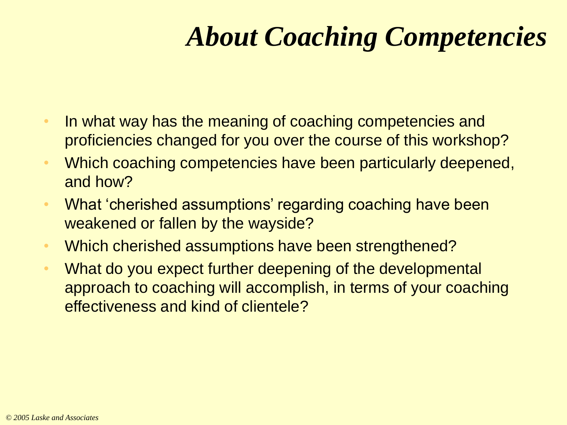# *About Coaching Competencies*

- In what way has the meaning of coaching competencies and proficiencies changed for you over the course of this workshop?
- Which coaching competencies have been particularly deepened, and how?
- What 'cherished assumptions' regarding coaching have been weakened or fallen by the wayside?
- Which cherished assumptions have been strengthened?
- What do you expect further deepening of the developmental approach to coaching will accomplish, in terms of your coaching effectiveness and kind of clientele?